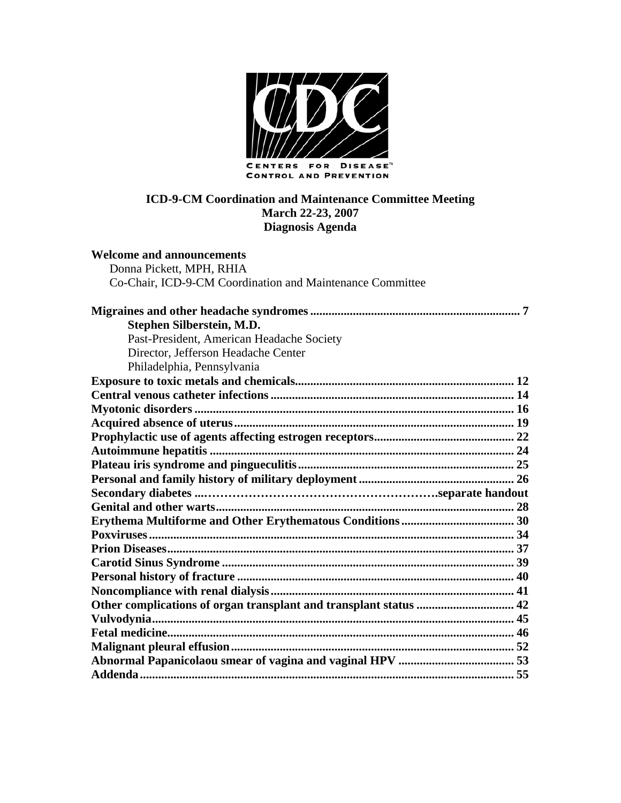

# **ICD-9-CM Coordination and Maintenance Committee Meeting March 22-23, 2007 Diagnosis Agenda**

| <b>Welcome and announcements</b>                          |  |
|-----------------------------------------------------------|--|
| Donna Pickett, MPH, RHIA                                  |  |
| Co-Chair, ICD-9-CM Coordination and Maintenance Committee |  |
|                                                           |  |
| Stephen Silberstein, M.D.                                 |  |
| Past-President, American Headache Society                 |  |
| Director, Jefferson Headache Center                       |  |
| Philadelphia, Pennsylvania                                |  |
|                                                           |  |
|                                                           |  |
|                                                           |  |
|                                                           |  |
|                                                           |  |
|                                                           |  |
|                                                           |  |
|                                                           |  |
|                                                           |  |
|                                                           |  |
|                                                           |  |
|                                                           |  |
|                                                           |  |
|                                                           |  |
|                                                           |  |
|                                                           |  |
|                                                           |  |
|                                                           |  |
|                                                           |  |
|                                                           |  |
|                                                           |  |
|                                                           |  |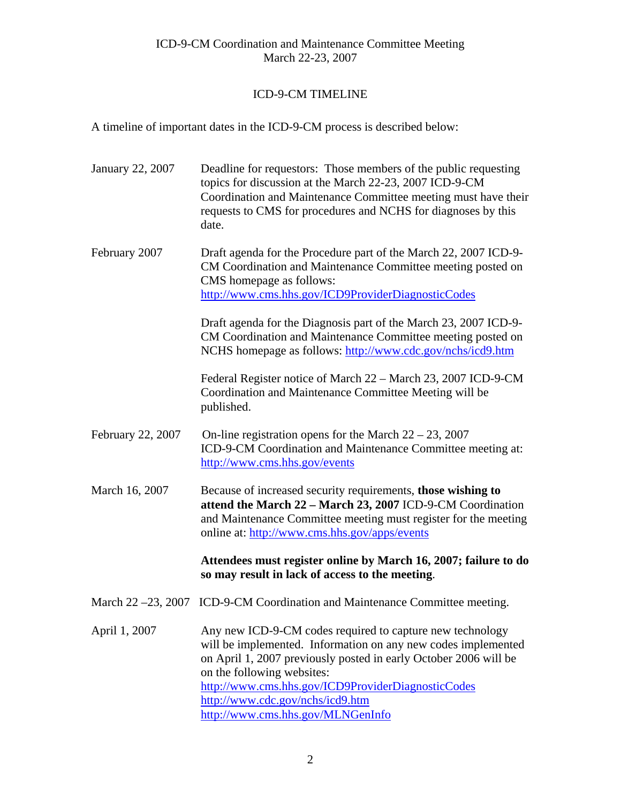# ICD-9-CM TIMELINE

A timeline of important dates in the ICD-9-CM process is described below:

| January 22, 2007  | Deadline for requestors: Those members of the public requesting<br>topics for discussion at the March 22-23, 2007 ICD-9-CM<br>Coordination and Maintenance Committee meeting must have their<br>requests to CMS for procedures and NCHS for diagnoses by this<br>date.                                                                                      |  |  |  |
|-------------------|-------------------------------------------------------------------------------------------------------------------------------------------------------------------------------------------------------------------------------------------------------------------------------------------------------------------------------------------------------------|--|--|--|
| February 2007     | Draft agenda for the Procedure part of the March 22, 2007 ICD-9-<br>CM Coordination and Maintenance Committee meeting posted on<br>CMS homepage as follows:<br>http://www.cms.hhs.gov/ICD9ProviderDiagnosticCodes                                                                                                                                           |  |  |  |
|                   | Draft agenda for the Diagnosis part of the March 23, 2007 ICD-9-<br>CM Coordination and Maintenance Committee meeting posted on<br>NCHS homepage as follows: http://www.cdc.gov/nchs/icd9.htm                                                                                                                                                               |  |  |  |
|                   | Federal Register notice of March 22 – March 23, 2007 ICD-9-CM<br>Coordination and Maintenance Committee Meeting will be<br>published.                                                                                                                                                                                                                       |  |  |  |
| February 22, 2007 | On-line registration opens for the March $22 - 23$ , 2007<br>ICD-9-CM Coordination and Maintenance Committee meeting at:<br>http://www.cms.hhs.gov/events                                                                                                                                                                                                   |  |  |  |
| March 16, 2007    | Because of increased security requirements, those wishing to<br>attend the March 22 - March 23, 2007 ICD-9-CM Coordination<br>and Maintenance Committee meeting must register for the meeting<br>online at: http://www.cms.hhs.gov/apps/events                                                                                                              |  |  |  |
|                   | Attendees must register online by March 16, 2007; failure to do<br>so may result in lack of access to the meeting.                                                                                                                                                                                                                                          |  |  |  |
|                   | March 22 – 23, 2007 ICD-9-CM Coordination and Maintenance Committee meeting.                                                                                                                                                                                                                                                                                |  |  |  |
| April 1, 2007     | Any new ICD-9-CM codes required to capture new technology<br>will be implemented. Information on any new codes implemented<br>on April 1, 2007 previously posted in early October 2006 will be<br>on the following websites:<br>http://www.cms.hhs.gov/ICD9ProviderDiagnosticCodes<br>http://www.cdc.gov/nchs/icd9.htm<br>http://www.cms.hhs.gov/MLNGenInfo |  |  |  |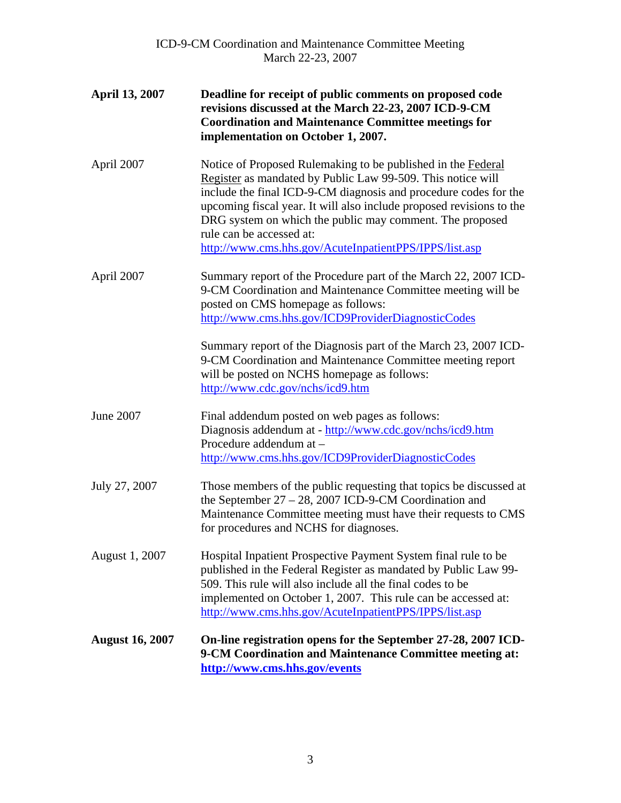| <b>April 13, 2007</b>  | Deadline for receipt of public comments on proposed code<br>revisions discussed at the March 22-23, 2007 ICD-9-CM<br><b>Coordination and Maintenance Committee meetings for</b><br>implementation on October 1, 2007.                                                                                                                                                                                                                          |
|------------------------|------------------------------------------------------------------------------------------------------------------------------------------------------------------------------------------------------------------------------------------------------------------------------------------------------------------------------------------------------------------------------------------------------------------------------------------------|
| April 2007             | Notice of Proposed Rulemaking to be published in the Federal<br>Register as mandated by Public Law 99-509. This notice will<br>include the final ICD-9-CM diagnosis and procedure codes for the<br>upcoming fiscal year. It will also include proposed revisions to the<br>DRG system on which the public may comment. The proposed<br>rule can be accessed at:<br>http://www.cms.hhs.gov/AcuteInpatientPPS/IPPS/list.asp                      |
| April 2007             | Summary report of the Procedure part of the March 22, 2007 ICD-<br>9-CM Coordination and Maintenance Committee meeting will be<br>posted on CMS homepage as follows:<br>http://www.cms.hhs.gov/ICD9ProviderDiagnosticCodes<br>Summary report of the Diagnosis part of the March 23, 2007 ICD-<br>9-CM Coordination and Maintenance Committee meeting report<br>will be posted on NCHS homepage as follows:<br>http://www.cdc.gov/nchs/icd9.htm |
| June 2007              | Final addendum posted on web pages as follows:<br>Diagnosis addendum at - http://www.cdc.gov/nchs/icd9.htm<br>Procedure addendum at -<br>http://www.cms.hhs.gov/ICD9ProviderDiagnosticCodes                                                                                                                                                                                                                                                    |
| July 27, 2007          | Those members of the public requesting that topics be discussed at<br>the September 27 - 28, 2007 ICD-9-CM Coordination and<br>Maintenance Committee meeting must have their requests to CMS<br>for procedures and NCHS for diagnoses.                                                                                                                                                                                                         |
| August 1, 2007         | Hospital Inpatient Prospective Payment System final rule to be<br>published in the Federal Register as mandated by Public Law 99-<br>509. This rule will also include all the final codes to be<br>implemented on October 1, 2007. This rule can be accessed at:<br>http://www.cms.hhs.gov/AcuteInpatientPPS/IPPS/list.asp                                                                                                                     |
| <b>August 16, 2007</b> | On-line registration opens for the September 27-28, 2007 ICD-<br>9-CM Coordination and Maintenance Committee meeting at:<br>http://www.cms.hhs.gov/events                                                                                                                                                                                                                                                                                      |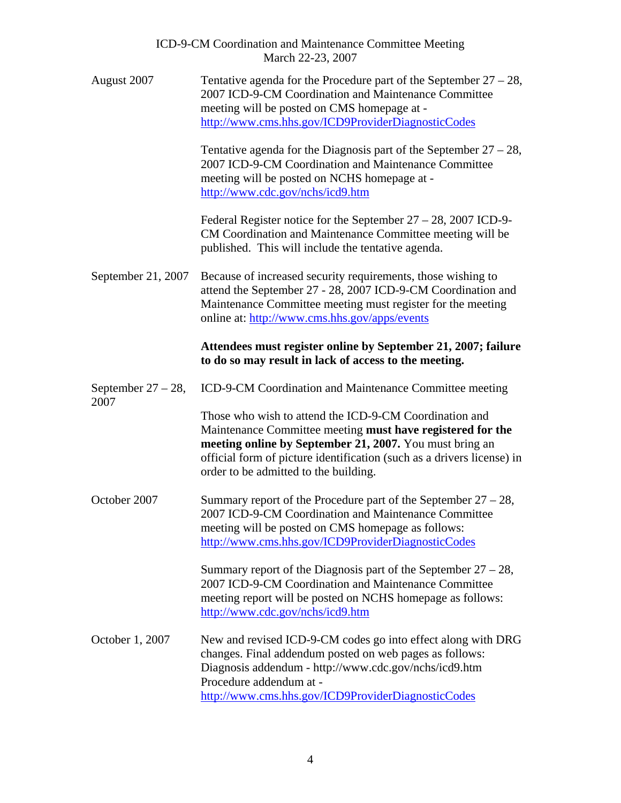|                               | ICD-9-CM Coordination and Maintenance Committee Meeting<br>March 22-23, 2007                                                                                                                                                                                                                       |
|-------------------------------|----------------------------------------------------------------------------------------------------------------------------------------------------------------------------------------------------------------------------------------------------------------------------------------------------|
| August 2007                   | Tentative agenda for the Procedure part of the September $27 - 28$ ,<br>2007 ICD-9-CM Coordination and Maintenance Committee<br>meeting will be posted on CMS homepage at -<br>http://www.cms.hhs.gov/ICD9ProviderDiagnosticCodes                                                                  |
|                               | Tentative agenda for the Diagnosis part of the September $27 - 28$ ,<br>2007 ICD-9-CM Coordination and Maintenance Committee<br>meeting will be posted on NCHS homepage at -<br>http://www.cdc.gov/nchs/icd9.htm                                                                                   |
|                               | Federal Register notice for the September $27 - 28$ , 2007 ICD-9-<br>CM Coordination and Maintenance Committee meeting will be<br>published. This will include the tentative agenda.                                                                                                               |
| September 21, 2007            | Because of increased security requirements, those wishing to<br>attend the September 27 - 28, 2007 ICD-9-CM Coordination and<br>Maintenance Committee meeting must register for the meeting<br>online at: http://www.cms.hhs.gov/apps/events                                                       |
|                               | Attendees must register online by September 21, 2007; failure<br>to do so may result in lack of access to the meeting.                                                                                                                                                                             |
| September $27 - 28$ ,<br>2007 | ICD-9-CM Coordination and Maintenance Committee meeting                                                                                                                                                                                                                                            |
|                               | Those who wish to attend the ICD-9-CM Coordination and<br>Maintenance Committee meeting must have registered for the<br>meeting online by September 21, 2007. You must bring an<br>official form of picture identification (such as a drivers license) in<br>order to be admitted to the building. |
| October 2007                  | Summary report of the Procedure part of the September $27 - 28$ ,<br>2007 ICD-9-CM Coordination and Maintenance Committee<br>meeting will be posted on CMS homepage as follows:<br>http://www.cms.hhs.gov/ICD9ProviderDiagnosticCodes                                                              |
|                               | Summary report of the Diagnosis part of the September $27 - 28$ ,<br>2007 ICD-9-CM Coordination and Maintenance Committee<br>meeting report will be posted on NCHS homepage as follows:<br>http://www.cdc.gov/nchs/icd9.htm                                                                        |
| October 1, 2007               | New and revised ICD-9-CM codes go into effect along with DRG<br>changes. Final addendum posted on web pages as follows:<br>Diagnosis addendum - http://www.cdc.gov/nchs/icd9.htm<br>Procedure addendum at -<br>http://www.cms.hhs.gov/ICD9ProviderDiagnosticCodes                                  |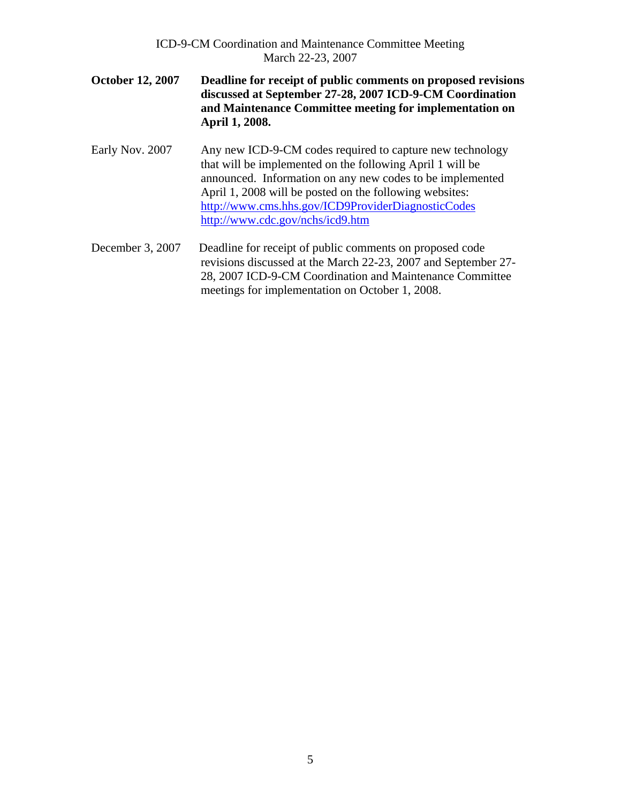- **October 12, 2007 Deadline for receipt of public comments on proposed revisions discussed at September 27-28, 2007 ICD-9-CM Coordination and Maintenance Committee meeting for implementation on April 1, 2008.**
- Early Nov. 2007 Any new ICD-9-CM codes required to capture new technology that will be implemented on the following April 1 will be announced. Information on any new codes to be implemented April 1, 2008 will be posted on the following websites: <http://www.cms.hhs.gov/ICD9ProviderDiagnosticCodes> http://www.cdc.gov/nchs/icd9.htm
- December 3, 2007 Deadline for receipt of public comments on proposed code revisions discussed at the March 22-23, 2007 and September 27- 28, 2007 ICD-9-CM Coordination and Maintenance Committee meetings for implementation on October 1, 2008.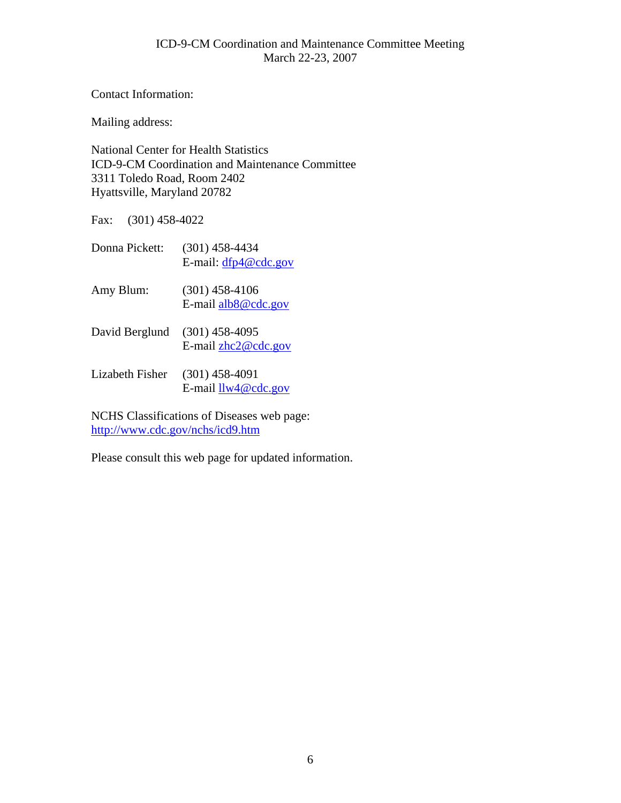Contact Information:

Mailing address:

National Center for Health Statistics ICD-9-CM Coordination and Maintenance Committee 3311 Toledo Road, Room 2402 Hyattsville, Maryland 20782

Fax: (301) 458-4022

| Donna Pickett:  | $(301)$ 458-4434<br>E-mail: $dfp4@cdc.gov$ |
|-----------------|--------------------------------------------|
| Amy Blum:       | $(301)$ 458-4106<br>E-mail $alb8@$ cdc.gov |
| David Berglund  | $(301)$ 458-4095<br>E-mail $zhc2@cdc.gov$  |
| Lizabeth Fisher | $(301)$ 458-4091<br>E-mail $llw4@cdc.gov$  |

NCHS Classifications of Diseases web page: <http://www.cdc.gov/nchs/icd9.htm>

Please consult this web page for updated information.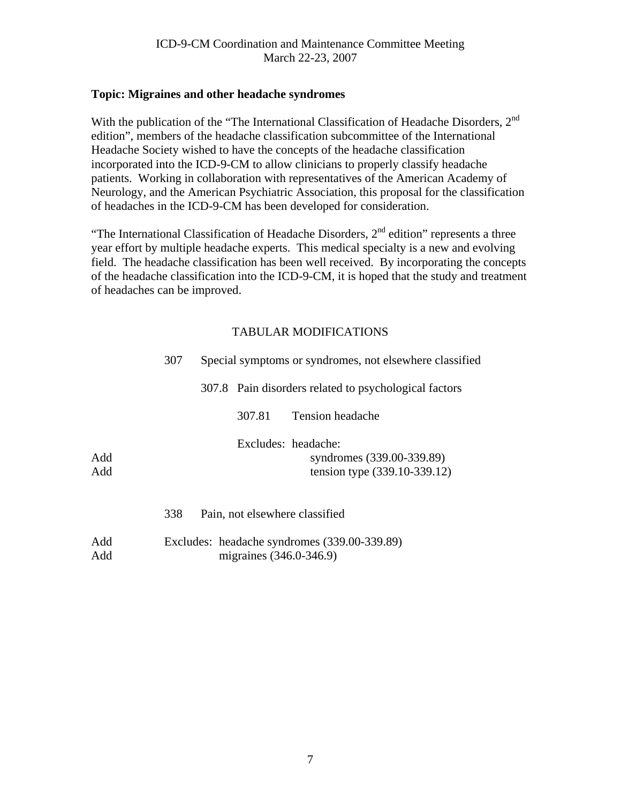### <span id="page-6-0"></span>**Topic: Migraines and other headache syndromes**

With the publication of the "The International Classification of Headache Disorders, 2<sup>nd</sup> edition", members of the headache classification subcommittee of the International Headache Society wished to have the concepts of the headache classification incorporated into the ICD-9-CM to allow clinicians to properly classify headache patients. Working in collaboration with representatives of the American Academy of Neurology, and the American Psychiatric Association, this proposal for the classification of headaches in the ICD-9-CM has been developed for consideration.

"The International Classification of Headache Disorders,  $2<sup>nd</sup>$  edition" represents a three year effort by multiple headache experts. This medical specialty is a new and evolving field. The headache classification has been well received. By incorporating the concepts of the headache classification into the ICD-9-CM, it is hoped that the study and treatment of headaches can be improved.

|            | 307 |                         | Special symptoms or syndromes, not elsewhere classified                          |  |  |
|------------|-----|-------------------------|----------------------------------------------------------------------------------|--|--|
|            |     |                         | 307.8 Pain disorders related to psychological factors                            |  |  |
|            |     | 307.81                  | <b>Tension headache</b>                                                          |  |  |
| Add<br>Add |     |                         | Excludes: headache:<br>syndromes (339.00-339.89)<br>tension type (339.10-339.12) |  |  |
|            | 338 |                         | Pain, not elsewhere classified                                                   |  |  |
| Add<br>Add |     | migraines (346.0-346.9) | Excludes: headache syndromes (339.00-339.89)                                     |  |  |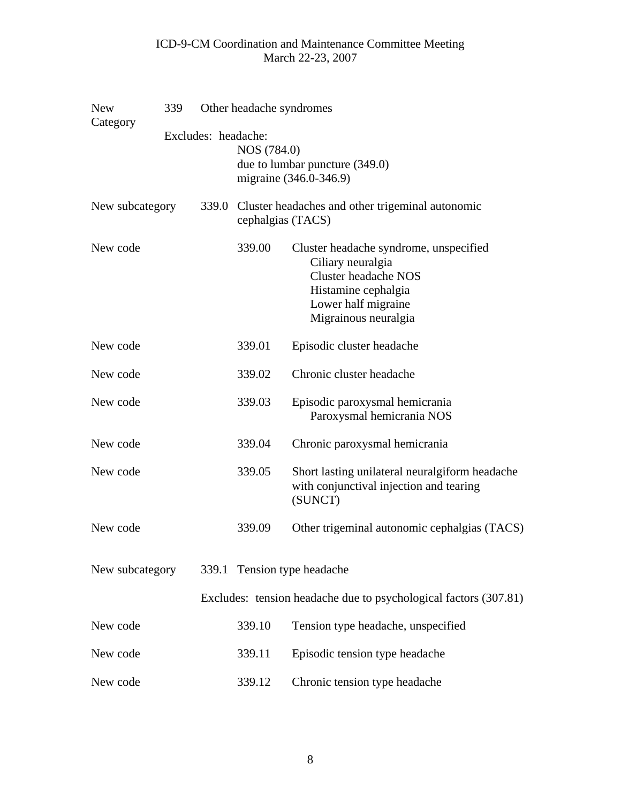| <b>New</b><br>Category | 339 |                     | Other headache syndromes |                                                                                                                                                                  |
|------------------------|-----|---------------------|--------------------------|------------------------------------------------------------------------------------------------------------------------------------------------------------------|
|                        |     | Excludes: headache: | NOS (784.0)              | due to lumbar puncture (349.0)<br>migraine (346.0-346.9)                                                                                                         |
| New subcategory        |     |                     |                          | 339.0 Cluster headaches and other trigeminal autonomic<br>cephalgias (TACS)                                                                                      |
| New code               |     |                     | 339.00                   | Cluster headache syndrome, unspecified<br>Ciliary neuralgia<br><b>Cluster headache NOS</b><br>Histamine cephalgia<br>Lower half migraine<br>Migrainous neuralgia |
| New code               |     |                     | 339.01                   | Episodic cluster headache                                                                                                                                        |
| New code               |     |                     | 339.02                   | Chronic cluster headache                                                                                                                                         |
| New code               |     |                     | 339.03                   | Episodic paroxysmal hemicrania<br>Paroxysmal hemicrania NOS                                                                                                      |
| New code               |     |                     | 339.04                   | Chronic paroxysmal hemicrania                                                                                                                                    |
| New code               |     |                     | 339.05                   | Short lasting unilateral neuralgiform headache<br>with conjunctival injection and tearing<br>(SUNCT)                                                             |
| New code               |     |                     | 339.09                   | Other trigeminal autonomic cephalgias (TACS)                                                                                                                     |
| New subcategory        |     |                     |                          | 339.1 Tension type headache                                                                                                                                      |
|                        |     |                     |                          | Excludes: tension headache due to psychological factors (307.81)                                                                                                 |
| New code               |     |                     | 339.10                   | Tension type headache, unspecified                                                                                                                               |
| New code               |     |                     | 339.11                   | Episodic tension type headache                                                                                                                                   |
| New code               |     |                     | 339.12                   | Chronic tension type headache                                                                                                                                    |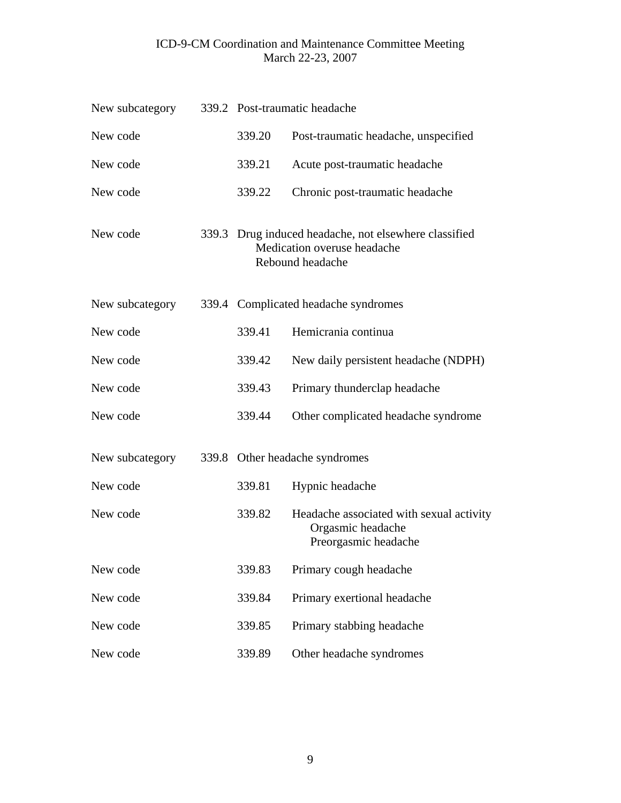| New subcategory | 339.2 Post-traumatic headache |                                                                                                          |
|-----------------|-------------------------------|----------------------------------------------------------------------------------------------------------|
| New code        | 339.20                        | Post-traumatic headache, unspecified                                                                     |
| New code        | 339.21                        | Acute post-traumatic headache                                                                            |
| New code        | 339.22                        | Chronic post-traumatic headache                                                                          |
| New code        |                               | 339.3 Drug induced headache, not elsewhere classified<br>Medication overuse headache<br>Rebound headache |
| New subcategory |                               | 339.4 Complicated headache syndromes                                                                     |
| New code        | 339.41                        | Hemicrania continua                                                                                      |
| New code        | 339.42                        | New daily persistent headache (NDPH)                                                                     |
| New code        | 339.43                        | Primary thunderclap headache                                                                             |
| New code        | 339.44                        | Other complicated headache syndrome                                                                      |
| New subcategory |                               | 339.8 Other headache syndromes                                                                           |
| New code        | 339.81                        | Hypnic headache                                                                                          |
| New code        | 339.82                        | Headache associated with sexual activity<br>Orgasmic headache<br>Preorgasmic headache                    |
| New code        | 339.83                        | Primary cough headache                                                                                   |
| New code        | 339.84                        | Primary exertional headache                                                                              |
| New code        | 339.85                        | Primary stabbing headache                                                                                |
| New code        | 339.89                        | Other headache syndromes                                                                                 |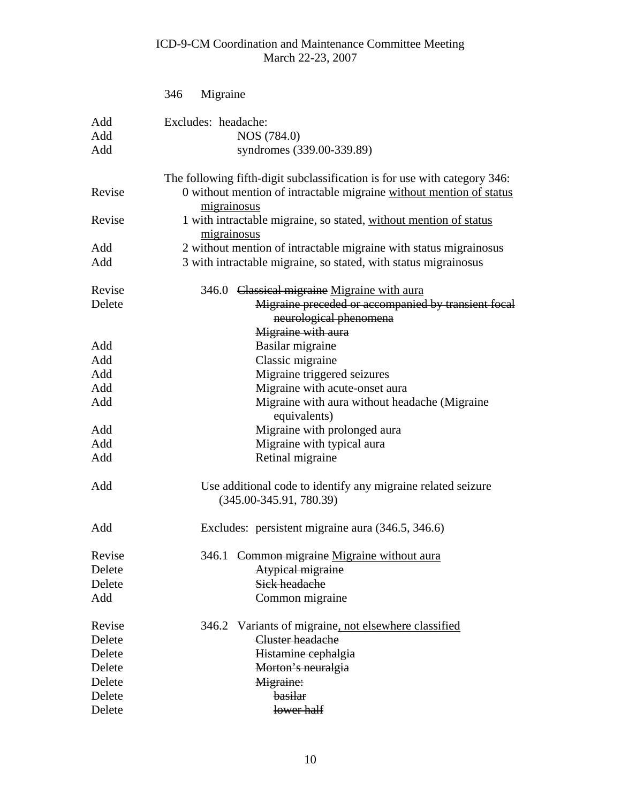|                   | 346<br>Migraine                                                                                                                                                 |
|-------------------|-----------------------------------------------------------------------------------------------------------------------------------------------------------------|
| Add<br>Add<br>Add | Excludes: headache:<br>NOS (784.0)<br>syndromes (339.00-339.89)                                                                                                 |
|                   |                                                                                                                                                                 |
| Revise            | The following fifth-digit subclassification is for use with category 346:<br>0 without mention of intractable migraine without mention of status<br>migrainosus |
| Revise            | 1 with intractable migraine, so stated, without mention of status<br>migrainosus                                                                                |
| Add               | 2 without mention of intractable migraine with status migrainosus                                                                                               |
| Add               | 3 with intractable migraine, so stated, with status migrainosus                                                                                                 |
| Revise            | 346.0 Classical migraine Migraine with aura                                                                                                                     |
| Delete            | Migraine preceded or accompanied by transient focal<br>neurological phenomena                                                                                   |
|                   | Migraine with aura                                                                                                                                              |
| Add               | Basilar migraine                                                                                                                                                |
| Add               | Classic migraine                                                                                                                                                |
| Add               | Migraine triggered seizures                                                                                                                                     |
| Add               | Migraine with acute-onset aura                                                                                                                                  |
| Add               | Migraine with aura without headache (Migraine<br>equivalents)                                                                                                   |
| Add               | Migraine with prolonged aura                                                                                                                                    |
| Add               | Migraine with typical aura                                                                                                                                      |
| Add               | Retinal migraine                                                                                                                                                |
| Add               | Use additional code to identify any migraine related seizure<br>$(345.00 - 345.91, 780.39)$                                                                     |
| Add               | Excludes: persistent migraine aura (346.5, 346.6)                                                                                                               |
| Revise            | 346.1 Common migraine Migraine without aura                                                                                                                     |
| Delete            | Atypical migraine                                                                                                                                               |
| Delete            | Sick headache                                                                                                                                                   |
| Add               | Common migraine                                                                                                                                                 |
| Revise            | 346.2 Variants of migraine, not elsewhere classified                                                                                                            |
| Delete            | Cluster headache                                                                                                                                                |
| Delete            | Histamine cephalgia                                                                                                                                             |
| Delete            | Morton's neuralgia                                                                                                                                              |
| Delete            | Migraine:                                                                                                                                                       |
| Delete            | basilar                                                                                                                                                         |
| Delete            | lower half                                                                                                                                                      |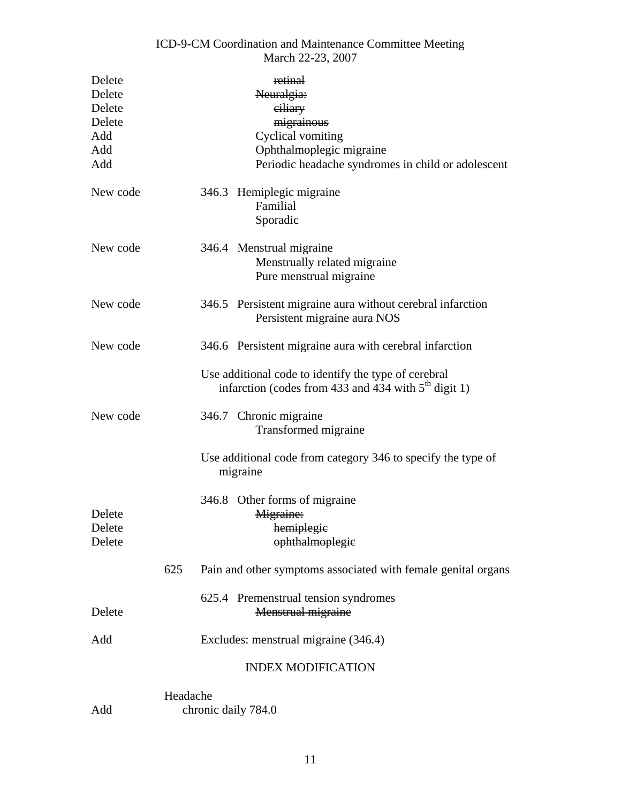| Delete           |          | retinal                                                                                                        |
|------------------|----------|----------------------------------------------------------------------------------------------------------------|
| Delete           |          | Neuralgia:                                                                                                     |
| Delete           |          | ciliary                                                                                                        |
| Delete           |          | migrainous                                                                                                     |
| Add              |          | Cyclical vomiting                                                                                              |
| Add              |          | Ophthalmoplegic migraine                                                                                       |
| Add              |          | Periodic headache syndromes in child or adolescent                                                             |
| New code         |          | 346.3 Hemiplegic migraine<br>Familial<br>Sporadic                                                              |
| New code         |          | 346.4 Menstrual migraine<br>Menstrually related migraine<br>Pure menstrual migraine                            |
| New code         |          | 346.5 Persistent migraine aura without cerebral infarction<br>Persistent migraine aura NOS                     |
| New code         |          | 346.6 Persistent migraine aura with cerebral infarction                                                        |
|                  |          | Use additional code to identify the type of cerebral<br>infarction (codes from 433 and 434 with $5th$ digit 1) |
| New code         |          | 346.7 Chronic migraine<br>Transformed migraine                                                                 |
|                  |          | Use additional code from category 346 to specify the type of<br>migraine                                       |
| Delete           |          | 346.8 Other forms of migraine<br>Migraine:                                                                     |
| Delete<br>Delete |          | hemiplegie<br>ophthalmoplegie                                                                                  |
|                  |          |                                                                                                                |
|                  | 625      | Pain and other symptoms associated with female genital organs                                                  |
| Delete           |          | 625.4 Premenstrual tension syndromes<br>Menstrual migraine                                                     |
| Add              |          | Excludes: menstrual migraine (346.4)                                                                           |
|                  |          | <b>INDEX MODIFICATION</b>                                                                                      |
|                  | Headache |                                                                                                                |

| Add | chronic daily 784.0 |
|-----|---------------------|
|     |                     |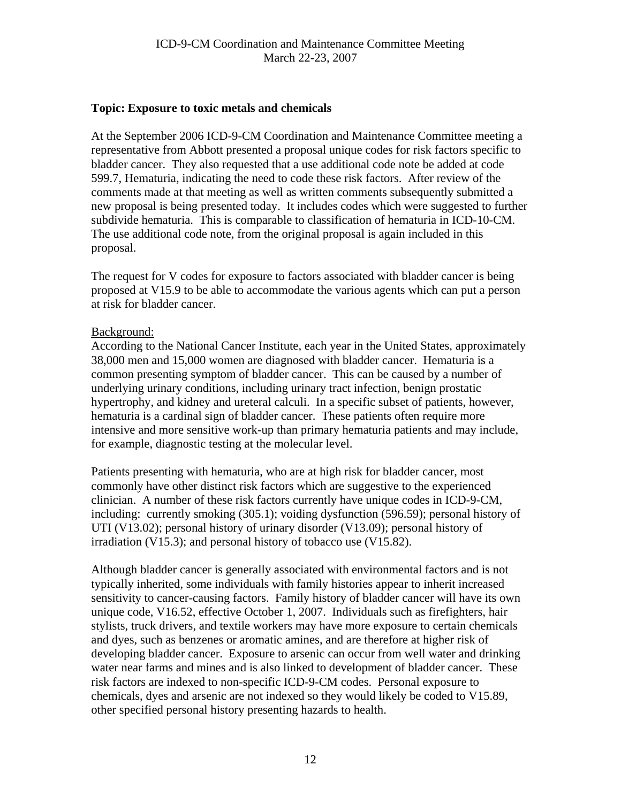# <span id="page-11-0"></span>**Topic: Exposure to toxic metals and chemicals**

At the September 2006 ICD-9-CM Coordination and Maintenance Committee meeting a representative from Abbott presented a proposal unique codes for risk factors specific to bladder cancer. They also requested that a use additional code note be added at code 599.7, Hematuria, indicating the need to code these risk factors. After review of the comments made at that meeting as well as written comments subsequently submitted a new proposal is being presented today. It includes codes which were suggested to further subdivide hematuria. This is comparable to classification of hematuria in ICD-10-CM. The use additional code note, from the original proposal is again included in this proposal.

The request for V codes for exposure to factors associated with bladder cancer is being proposed at V15.9 to be able to accommodate the various agents which can put a person at risk for bladder cancer.

### Background:

According to the National Cancer Institute, each year in the United States, approximately 38,000 men and 15,000 women are diagnosed with bladder cancer. Hematuria is a common presenting symptom of bladder cancer. This can be caused by a number of underlying urinary conditions, including urinary tract infection, benign prostatic hypertrophy, and kidney and ureteral calculi. In a specific subset of patients, however, hematuria is a cardinal sign of bladder cancer. These patients often require more intensive and more sensitive work-up than primary hematuria patients and may include, for example, diagnostic testing at the molecular level.

Patients presenting with hematuria, who are at high risk for bladder cancer, most commonly have other distinct risk factors which are suggestive to the experienced clinician. A number of these risk factors currently have unique codes in ICD-9-CM, including: currently smoking (305.1); voiding dysfunction (596.59); personal history of UTI (V13.02); personal history of urinary disorder (V13.09); personal history of irradiation (V15.3); and personal history of tobacco use (V15.82).

Although bladder cancer is generally associated with environmental factors and is not typically inherited, some individuals with family histories appear to inherit increased sensitivity to cancer-causing factors. Family history of bladder cancer will have its own unique code, V16.52, effective October 1, 2007. Individuals such as firefighters, hair stylists, truck drivers, and textile workers may have more exposure to certain chemicals and dyes, such as benzenes or aromatic amines, and are therefore at higher risk of developing bladder cancer. Exposure to arsenic can occur from well water and drinking water near farms and mines and is also linked to development of bladder cancer. These risk factors are indexed to non-specific ICD-9-CM codes. Personal exposure to chemicals, dyes and arsenic are not indexed so they would likely be coded to V15.89, other specified personal history presenting hazards to health.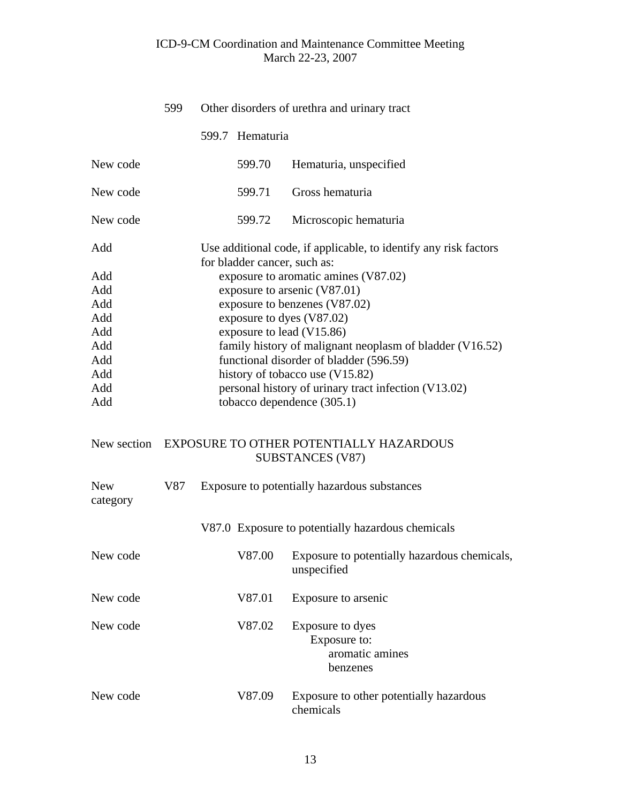|                        | 599 |                              | Other disorders of urethra and urinary tract                                      |
|------------------------|-----|------------------------------|-----------------------------------------------------------------------------------|
|                        |     | 599.7 Hematuria              |                                                                                   |
| New code               |     | 599.70                       | Hematuria, unspecified                                                            |
| New code               |     | 599.71                       | Gross hematuria                                                                   |
| New code               |     | 599.72                       | Microscopic hematuria                                                             |
| Add                    |     | for bladder cancer, such as: | Use additional code, if applicable, to identify any risk factors                  |
| Add                    |     |                              | exposure to aromatic amines (V87.02)                                              |
| Add                    |     |                              | exposure to arsenic (V87.01)                                                      |
| Add                    |     |                              | exposure to benzenes (V87.02)                                                     |
| Add                    |     |                              | exposure to dyes (V87.02)                                                         |
| Add                    |     |                              | exposure to lead (V15.86)                                                         |
| Add                    |     |                              | family history of malignant neoplasm of bladder (V16.52)                          |
| Add                    |     |                              | functional disorder of bladder (596.59)                                           |
| Add                    |     |                              | history of tobacco use (V15.82)                                                   |
| Add<br>Add             |     |                              | personal history of urinary tract infection (V13.02)                              |
|                        |     |                              | tobacco dependence (305.1)<br>New section EXPOSURE TO OTHER POTENTIALLY HAZARDOUS |
|                        |     |                              | <b>SUBSTANCES (V87)</b>                                                           |
| <b>New</b><br>category | V87 |                              | Exposure to potentially hazardous substances                                      |
|                        |     |                              | V87.0 Exposure to potentially hazardous chemicals                                 |
| New code               |     | V87.00                       | Exposure to potentially hazardous chemicals,<br>unspecified                       |
| New code               |     | V87.01                       | Exposure to arsenic                                                               |
| New code               |     | V87.02                       | Exposure to dyes<br>Exposure to:<br>aromatic amines<br>benzenes                   |
| New code               |     | V87.09                       | Exposure to other potentially hazardous<br>chemicals                              |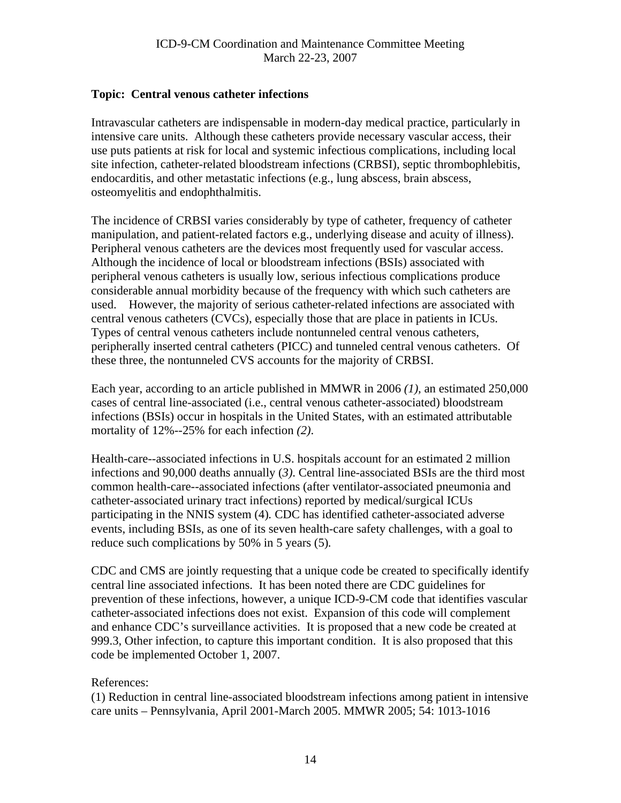# <span id="page-13-0"></span>**Topic: Central venous catheter infections**

Intravascular catheters are indispensable in modern-day medical practice, particularly in intensive care units. Although these catheters provide necessary vascular access, their use puts patients at risk for local and systemic infectious complications, including local site infection, catheter-related bloodstream infections (CRBSI), septic thrombophlebitis, endocarditis, and other metastatic infections (e.g., lung abscess, brain abscess, osteomyelitis and endophthalmitis.

The incidence of CRBSI varies considerably by type of catheter, frequency of catheter manipulation, and patient-related factors e.g., underlying disease and acuity of illness). Peripheral venous catheters are the devices most frequently used for vascular access. Although the incidence of local or bloodstream infections (BSIs) associated with peripheral venous catheters is usually low, serious infectious complications produce considerable annual morbidity because of the frequency with which such catheters are used. However, the majority of serious catheter-related infections are associated with central venous catheters (CVCs), especially those that are place in patients in ICUs. Types of central venous catheters include nontunneled central venous catheters, peripherally inserted central catheters (PICC) and tunneled central venous catheters. Of these three, the nontunneled CVS accounts for the majority of CRBSI.

Each year, according to an article published in MMWR in 2006 *(1),* an estimated 250,000 cases of central line-associated (i.e., central venous catheter-associated) bloodstream infections (BSIs) occur in hospitals in the United States, with an estimated attributable mortality of 12%--25% for each infection *(2)*.

Health-care--associated infections in U.S. hospitals account for an estimated 2 million infections and 90,000 deaths annually (*3)*. Central line-associated BSIs are the third most common health-care--associated infections (after ventilator-associated pneumonia and catheter-associated urinary tract infections) reported by medical/surgical ICUs participating in the NNIS system (4)*.* CDC has identified catheter-associated adverse events, including BSIs, as one of its seven health-care safety challenges, with a goal to reduce such complications by 50% in 5 years (5)*.*

CDC and CMS are jointly requesting that a unique code be created to specifically identify central line associated infections. It has been noted there are CDC guidelines for prevention of these infections, however, a unique ICD-9-CM code that identifies vascular catheter-associated infections does not exist. Expansion of this code will complement and enhance CDC's surveillance activities. It is proposed that a new code be created at 999.3, Other infection, to capture this important condition. It is also proposed that this code be implemented October 1, 2007.

# References:

(1) Reduction in central line-associated bloodstream infections among patient in intensive care units – Pennsylvania, April 2001-March 2005. MMWR 2005; 54: 1013-1016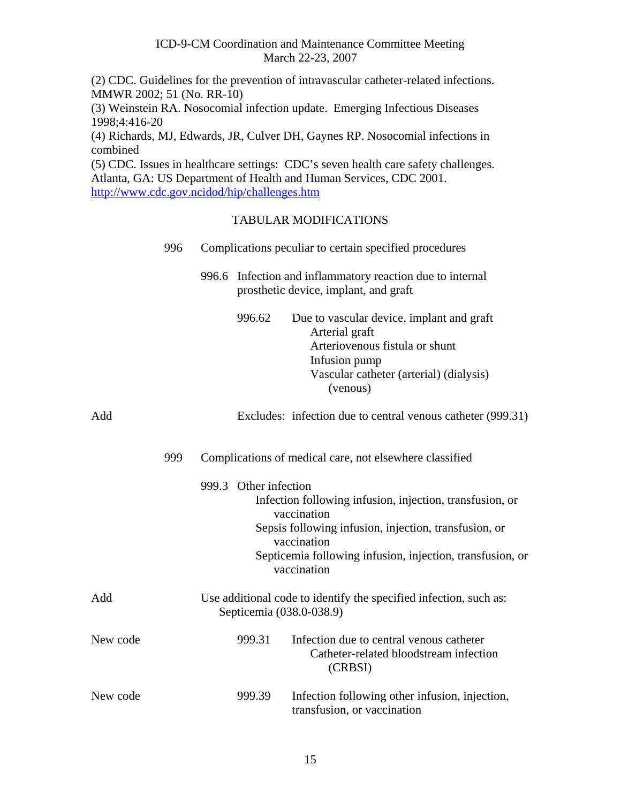(2) CDC. Guidelines for the prevention of intravascular catheter-related infections. MMWR 2002; 51 (No. RR-10)

(3) Weinstein RA. Nosocomial infection update. Emerging Infectious Diseases 1998;4:416-20

(4) Richards, MJ, Edwards, JR, Culver DH, Gaynes RP. Nosocomial infections in combined

(5) CDC. Issues in healthcare settings: CDC's seven health care safety challenges. Atlanta, GA: US Department of Health and Human Services, CDC 2001. <http://www.cdc.gov.ncidod/hip/challenges.htm>

|          | 996 |                                                                                                                                                                                                                                                      | Complications peculiar to certain specified procedures |                                                                                                                                                                       |  |  |
|----------|-----|------------------------------------------------------------------------------------------------------------------------------------------------------------------------------------------------------------------------------------------------------|--------------------------------------------------------|-----------------------------------------------------------------------------------------------------------------------------------------------------------------------|--|--|
|          |     |                                                                                                                                                                                                                                                      |                                                        | 996.6 Infection and inflammatory reaction due to internal<br>prosthetic device, implant, and graft                                                                    |  |  |
|          |     |                                                                                                                                                                                                                                                      | 996.62                                                 | Due to vascular device, implant and graft<br>Arterial graft<br>Arteriovenous fistula or shunt<br>Infusion pump<br>Vascular catheter (arterial) (dialysis)<br>(venous) |  |  |
| Add      |     |                                                                                                                                                                                                                                                      |                                                        | Excludes: infection due to central venous catheter (999.31)                                                                                                           |  |  |
|          | 999 | Complications of medical care, not elsewhere classified                                                                                                                                                                                              |                                                        |                                                                                                                                                                       |  |  |
|          |     | 999.3 Other infection<br>Infection following infusion, injection, transfusion, or<br>vaccination<br>Sepsis following infusion, injection, transfusion, or<br>vaccination<br>Septicemia following infusion, injection, transfusion, or<br>vaccination |                                                        |                                                                                                                                                                       |  |  |
| Add      |     |                                                                                                                                                                                                                                                      |                                                        | Use additional code to identify the specified infection, such as:<br>Septicemia (038.0-038.9)                                                                         |  |  |
| New code |     |                                                                                                                                                                                                                                                      | 999.31                                                 | Infection due to central venous catheter<br>Catheter-related bloodstream infection<br>(CRBSI)                                                                         |  |  |
| New code |     |                                                                                                                                                                                                                                                      | 999.39                                                 | Infection following other infusion, injection,<br>transfusion, or vaccination                                                                                         |  |  |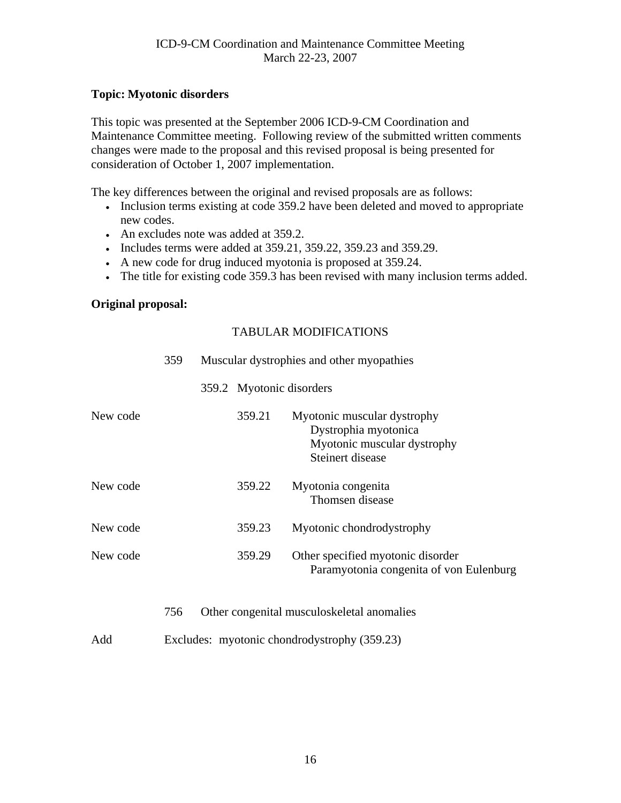# <span id="page-15-0"></span>**Topic: Myotonic disorders**

This topic was presented at the September 2006 ICD-9-CM Coordination and Maintenance Committee meeting. Following review of the submitted written comments changes were made to the proposal and this revised proposal is being presented for consideration of October 1, 2007 implementation.

The key differences between the original and revised proposals are as follows:

- Inclusion terms existing at code 359.2 have been deleted and moved to appropriate new codes.
- An excludes note was added at 359.2.
- Includes terms were added at 359.21, 359.22, 359.23 and 359.29.
- A new code for drug induced myotonia is proposed at 359.24.
- The title for existing code 359.3 has been revised with many inclusion terms added.

### **Original proposal:**

### TABULAR MODIFICATIONS

|          | 359 |                          | Muscular dystrophies and other myopathies                                                              |
|----------|-----|--------------------------|--------------------------------------------------------------------------------------------------------|
|          |     | 359.2 Myotonic disorders |                                                                                                        |
| New code |     | 359.21                   | Myotonic muscular dystrophy<br>Dystrophia myotonica<br>Myotonic muscular dystrophy<br>Steinert disease |
| New code |     | 359.22                   | Myotonia congenita<br>Thomsen disease                                                                  |
| New code |     | 359.23                   | Myotonic chondrodystrophy                                                                              |
| New code |     | 359.29                   | Other specified myotonic disorder<br>Paramyotonia congenita of von Eulenburg                           |
|          | 756 |                          | Other congenital musculoskeletal anomalies                                                             |

Add Excludes: myotonic chondrodystrophy (359.23)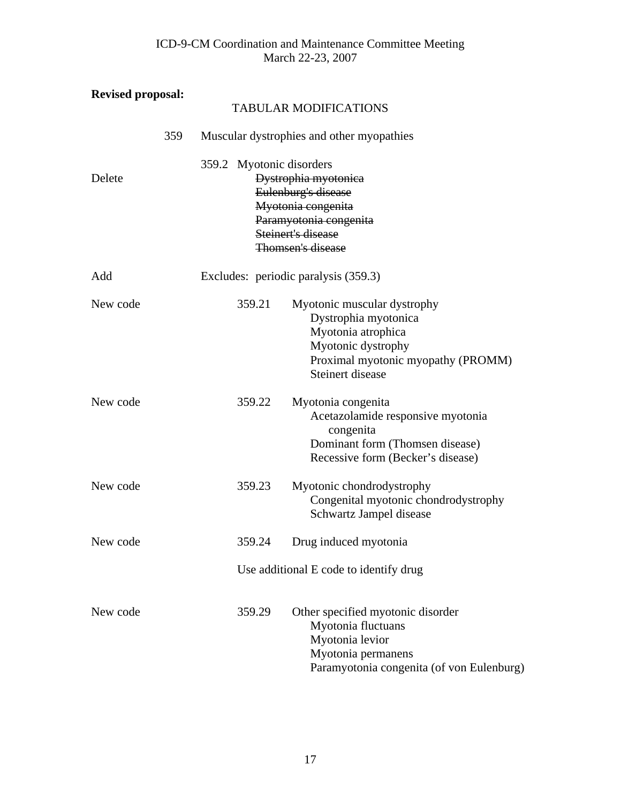| <b>Revised proposal:</b> |     | <b>TABULAR MODIFICATIONS</b>                                                                                                                                       |                                                                                                                                                           |  |  |  |
|--------------------------|-----|--------------------------------------------------------------------------------------------------------------------------------------------------------------------|-----------------------------------------------------------------------------------------------------------------------------------------------------------|--|--|--|
|                          | 359 |                                                                                                                                                                    | Muscular dystrophies and other myopathies                                                                                                                 |  |  |  |
| Delete                   |     | 359.2 Myotonic disorders<br>Dystrophia myotonica<br>Eulenburg's disease<br>Myotonia congenita<br>Paramyotonia congenita<br>Steinert's disease<br>Thomsen's disease |                                                                                                                                                           |  |  |  |
| Add                      |     |                                                                                                                                                                    | Excludes: periodic paralysis (359.3)                                                                                                                      |  |  |  |
| New code                 |     | 359.21                                                                                                                                                             | Myotonic muscular dystrophy<br>Dystrophia myotonica<br>Myotonia atrophica<br>Myotonic dystrophy<br>Proximal myotonic myopathy (PROMM)<br>Steinert disease |  |  |  |
| New code                 |     | 359.22                                                                                                                                                             | Myotonia congenita<br>Acetazolamide responsive myotonia<br>congenita<br>Dominant form (Thomsen disease)<br>Recessive form (Becker's disease)              |  |  |  |
| New code                 |     | 359.23                                                                                                                                                             | Myotonic chondrodystrophy<br>Congenital myotonic chondrodystrophy<br>Schwartz Jampel disease                                                              |  |  |  |
| New code                 |     |                                                                                                                                                                    | 359.24 Drug induced myotonia                                                                                                                              |  |  |  |
|                          |     |                                                                                                                                                                    | Use additional E code to identify drug                                                                                                                    |  |  |  |
| New code                 |     | 359.29                                                                                                                                                             | Other specified myotonic disorder<br>Myotonia fluctuans<br>Myotonia levior<br>Myotonia permanens<br>Paramyotonia congenita (of von Eulenburg)             |  |  |  |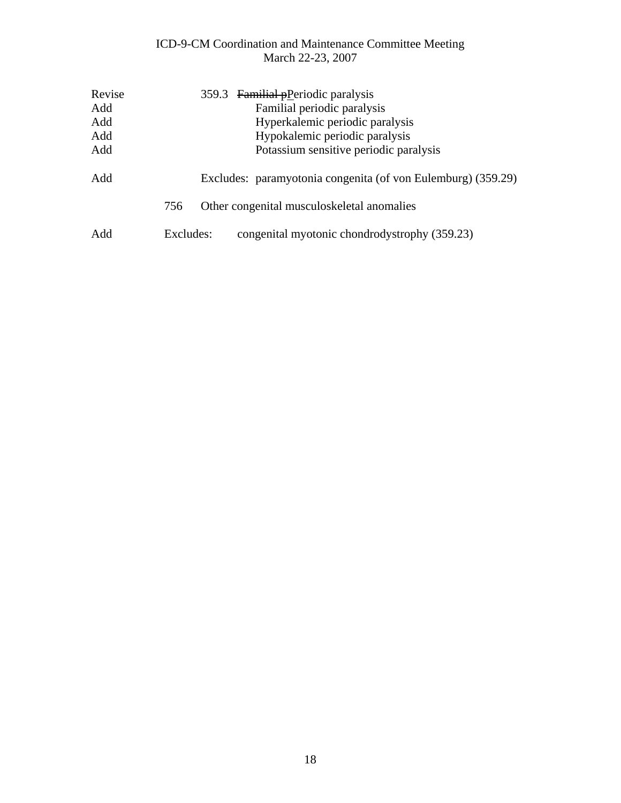| Revise | 359.3 Familial pPeriodic paralysis                           |
|--------|--------------------------------------------------------------|
| Add    | Familial periodic paralysis                                  |
| Add    | Hyperkalemic periodic paralysis                              |
| Add    | Hypokalemic periodic paralysis                               |
| Add    | Potassium sensitive periodic paralysis                       |
| Add    | Excludes: paramyotonia congenita (of von Eulemburg) (359.29) |
|        | Other congenital musculoskeletal anomalies<br>756            |
| Add    | Excludes:<br>congenital myotonic chondrodystrophy (359.23)   |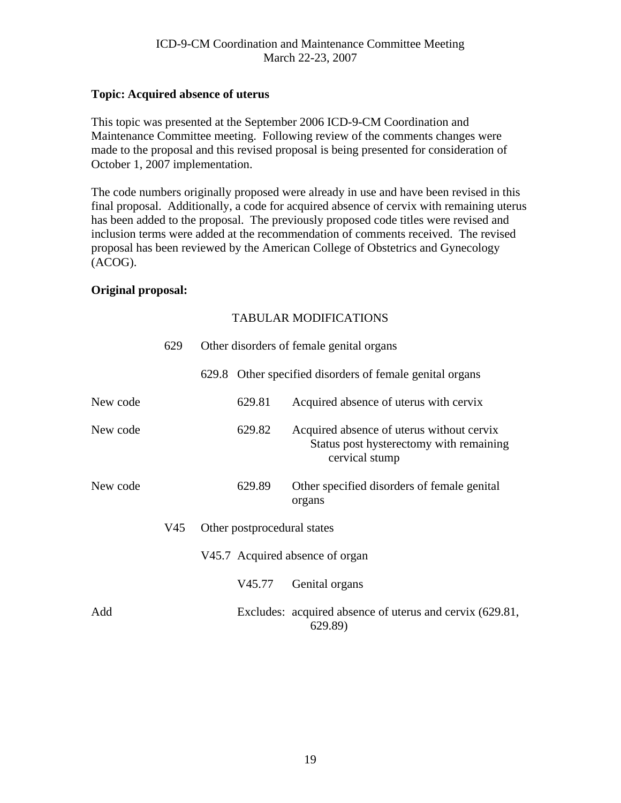# <span id="page-18-0"></span>**Topic: Acquired absence of uterus**

This topic was presented at the September 2006 ICD-9-CM Coordination and Maintenance Committee meeting. Following review of the comments changes were made to the proposal and this revised proposal is being presented for consideration of October 1, 2007 implementation.

The code numbers originally proposed were already in use and have been revised in this final proposal. Additionally, a code for acquired absence of cervix with remaining uterus has been added to the proposal. The previously proposed code titles were revised and inclusion terms were added at the recommendation of comments received. The revised proposal has been reviewed by the American College of Obstetrics and Gynecology (ACOG).

# **Original proposal:**

|          | 629 | Other disorders of female genital organs |                                                                                                        |  |
|----------|-----|------------------------------------------|--------------------------------------------------------------------------------------------------------|--|
|          |     |                                          | 629.8 Other specified disorders of female genital organs                                               |  |
| New code |     | 629.81                                   | Acquired absence of uterus with cervix                                                                 |  |
| New code |     | 629.82                                   | Acquired absence of uterus without cervix<br>Status post hysterectomy with remaining<br>cervical stump |  |
| New code |     | 629.89                                   | Other specified disorders of female genital<br>organs                                                  |  |
|          | V45 | Other postprocedural states              |                                                                                                        |  |
|          |     |                                          | V45.7 Acquired absence of organ                                                                        |  |
|          |     | V45.77                                   | Genital organs                                                                                         |  |
| Add      |     |                                          | Excludes: acquired absence of uterus and cervix (629.81,<br>629.89)                                    |  |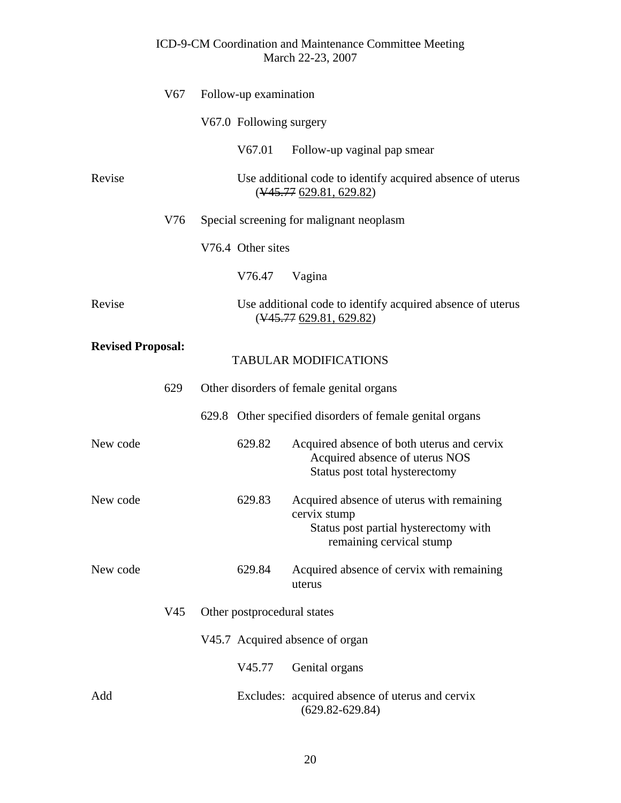|                          | V67                                                                                          | Follow-up examination                    |                                                                                                                                |  |  |
|--------------------------|----------------------------------------------------------------------------------------------|------------------------------------------|--------------------------------------------------------------------------------------------------------------------------------|--|--|
|                          |                                                                                              | V67.0 Following surgery                  |                                                                                                                                |  |  |
|                          |                                                                                              | V67.01                                   | Follow-up vaginal pap smear                                                                                                    |  |  |
| Revise                   | Use additional code to identify acquired absence of uterus<br>$(\frac{V45.77629.81,629.82}{$ |                                          |                                                                                                                                |  |  |
|                          | V76                                                                                          | Special screening for malignant neoplasm |                                                                                                                                |  |  |
|                          |                                                                                              | V76.4 Other sites                        |                                                                                                                                |  |  |
|                          |                                                                                              | V76.47                                   | Vagina                                                                                                                         |  |  |
| Revise                   |                                                                                              |                                          | Use additional code to identify acquired absence of uterus<br>$(\frac{145.77629.81}{629.82})$                                  |  |  |
| <b>Revised Proposal:</b> |                                                                                              |                                          | <b>TABULAR MODIFICATIONS</b>                                                                                                   |  |  |
|                          | 629                                                                                          |                                          | Other disorders of female genital organs                                                                                       |  |  |
|                          |                                                                                              |                                          | 629.8 Other specified disorders of female genital organs                                                                       |  |  |
| New code                 |                                                                                              | 629.82                                   | Acquired absence of both uterus and cervix<br>Acquired absence of uterus NOS<br>Status post total hysterectomy                 |  |  |
| New code                 |                                                                                              | 629.83                                   | Acquired absence of uterus with remaining<br>cervix stump<br>Status post partial hysterectomy with<br>remaining cervical stump |  |  |
| New code                 |                                                                                              | 629.84                                   | Acquired absence of cervix with remaining<br>uterus                                                                            |  |  |
|                          | V <sub>45</sub>                                                                              | Other postprocedural states              |                                                                                                                                |  |  |
|                          |                                                                                              | V45.7 Acquired absence of organ          |                                                                                                                                |  |  |
|                          |                                                                                              | V45.77                                   | Genital organs                                                                                                                 |  |  |
| Add                      |                                                                                              |                                          | Excludes: acquired absence of uterus and cervix<br>$(629.82 - 629.84)$                                                         |  |  |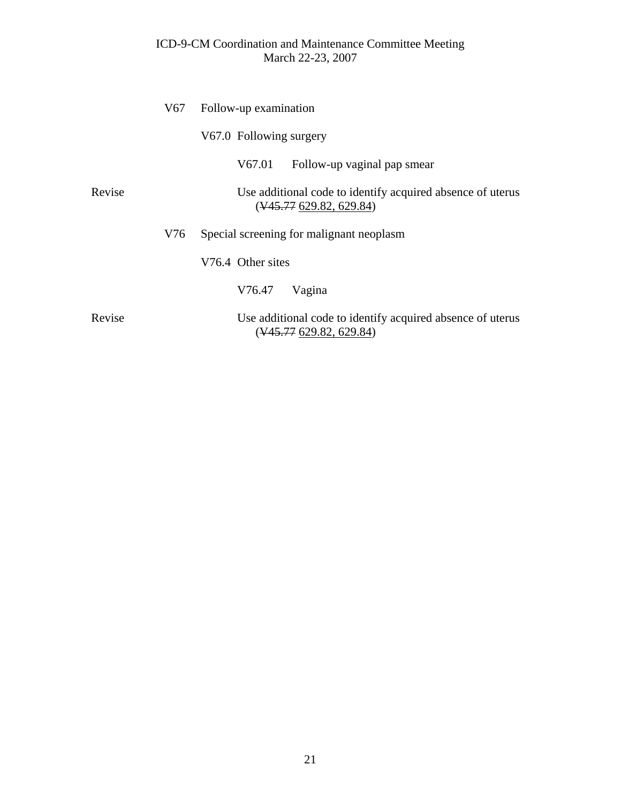|        | V67 | Follow-up examination                                                                                 |
|--------|-----|-------------------------------------------------------------------------------------------------------|
|        |     | V67.0 Following surgery                                                                               |
|        |     | V67.01<br>Follow-up vaginal pap smear                                                                 |
| Revise | V76 | Use additional code to identify acquired absence of uterus<br>$(\frac{113.77629.82}{629.82}, 629.84)$ |
|        |     | Special screening for malignant neoplasm                                                              |
|        |     | V76.4 Other sites                                                                                     |
|        |     | Vagina<br>V76.47                                                                                      |
| Revise |     | Use additional code to identify acquired absence of uterus<br>$(\frac{113.77629.82}{629.82}, 629.84)$ |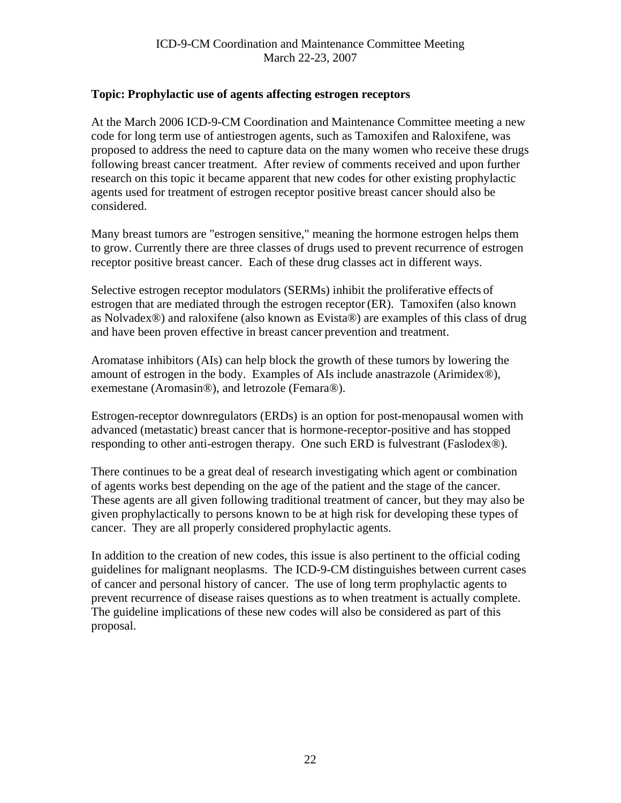# <span id="page-21-0"></span>**Topic: Prophylactic use of agents affecting estrogen receptors**

At the March 2006 ICD-9-CM Coordination and Maintenance Committee meeting a new code for long term use of antiestrogen agents, such as Tamoxifen and Raloxifene, was proposed to address the need to capture data on the many women who receive these drugs following breast cancer treatment. After review of comments received and upon further research on this topic it became apparent that new codes for other existing prophylactic agents used for treatment of estrogen receptor positive breast cancer should also be considered.

Many breast tumors are "estrogen sensitive," meaning the hormone estrogen helps them to grow. Currently there are three classes of drugs used to prevent recurrence of estrogen receptor positive breast cancer. Each of these drug classes act in different ways.

Selective estrogen receptor modulators (SERMs) inhibit the proliferative effects of estrogen that are mediated through the estrogen receptor(ER). Tamoxifen (also known as Nolvadex®) and raloxifene (also known as Evista®) are examples of this class of drug and have been proven effective in breast cancer prevention and treatment.

Aromatase inhibitors (AIs) can help block the growth of these tumors by lowering the amount of estrogen in the body. Examples of AIs include anastrazole (Arimidex®), exemestane (Aromasin®), and letrozole (Femara®).

Estrogen-receptor downregulators (ERDs) is an option for post-menopausal women with advanced (metastatic) breast cancer that is hormone-receptor-positive and has stopped responding to other anti-estrogen therapy. One such ERD is fulvestrant (Faslodex®).

There continues to be a great deal of research investigating which agent or combination of agents works best depending on the age of the patient and the stage of the cancer. These agents are all given following traditional treatment of cancer, but they may also be given prophylactically to persons known to be at high risk for developing these types of cancer. They are all properly considered prophylactic agents.

In addition to the creation of new codes, this issue is also pertinent to the official coding guidelines for malignant neoplasms. The ICD-9-CM distinguishes between current cases of cancer and personal history of cancer. The use of long term prophylactic agents to prevent recurrence of disease raises questions as to when treatment is actually complete. The guideline implications of these new codes will also be considered as part of this proposal.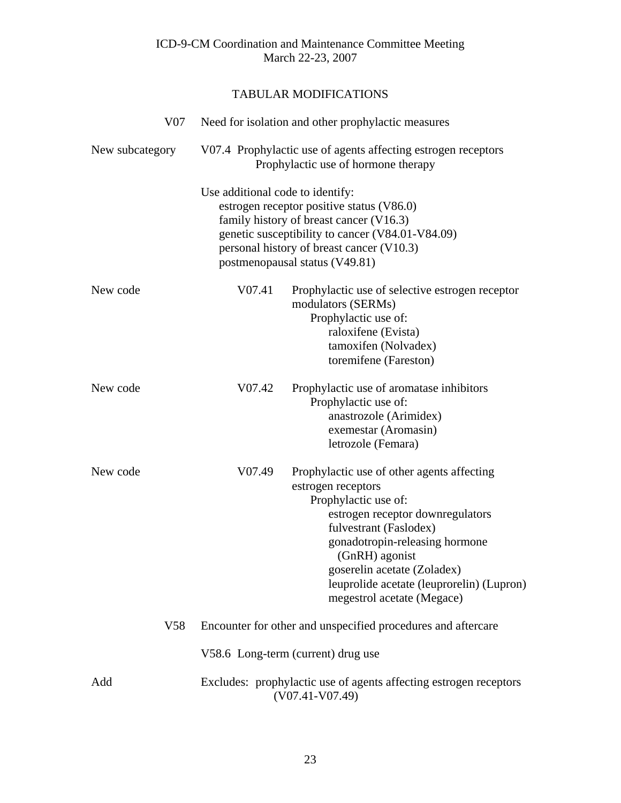| V07             | Need for isolation and other prophylactic measures                                                                                                                                                                                                          |                                                                                                                                                                                                                                                                                                                      |  |  |  |  |
|-----------------|-------------------------------------------------------------------------------------------------------------------------------------------------------------------------------------------------------------------------------------------------------------|----------------------------------------------------------------------------------------------------------------------------------------------------------------------------------------------------------------------------------------------------------------------------------------------------------------------|--|--|--|--|
| New subcategory |                                                                                                                                                                                                                                                             | V07.4 Prophylactic use of agents affecting estrogen receptors<br>Prophylactic use of hormone therapy                                                                                                                                                                                                                 |  |  |  |  |
|                 | Use additional code to identify:<br>estrogen receptor positive status (V86.0)<br>family history of breast cancer (V16.3)<br>genetic susceptibility to cancer (V84.01-V84.09)<br>personal history of breast cancer (V10.3)<br>postmenopausal status (V49.81) |                                                                                                                                                                                                                                                                                                                      |  |  |  |  |
| New code        | V07.41                                                                                                                                                                                                                                                      | Prophylactic use of selective estrogen receptor<br>modulators (SERMs)<br>Prophylactic use of:<br>raloxifene (Evista)<br>tamoxifen (Nolvadex)<br>toremifene (Fareston)                                                                                                                                                |  |  |  |  |
| New code        | V07.42                                                                                                                                                                                                                                                      | Prophylactic use of aromatase inhibitors<br>Prophylactic use of:<br>anastrozole (Arimidex)<br>exemestar (Aromasin)<br>letrozole (Femara)                                                                                                                                                                             |  |  |  |  |
| New code        | V07.49                                                                                                                                                                                                                                                      | Prophylactic use of other agents affecting<br>estrogen receptors<br>Prophylactic use of:<br>estrogen receptor downregulators<br>fulvestrant (Faslodex)<br>gonadotropin-releasing hormone<br>(GnRH) agonist<br>goserelin acetate (Zoladex)<br>leuprolide acetate (leuprorelin) (Lupron)<br>megestrol acetate (Megace) |  |  |  |  |
| V <sub>58</sub> |                                                                                                                                                                                                                                                             | Encounter for other and unspecified procedures and aftercare                                                                                                                                                                                                                                                         |  |  |  |  |
|                 |                                                                                                                                                                                                                                                             | V58.6 Long-term (current) drug use                                                                                                                                                                                                                                                                                   |  |  |  |  |
| Add             | Excludes: prophylactic use of agents affecting estrogen receptors<br>$(V07.41-V07.49)$                                                                                                                                                                      |                                                                                                                                                                                                                                                                                                                      |  |  |  |  |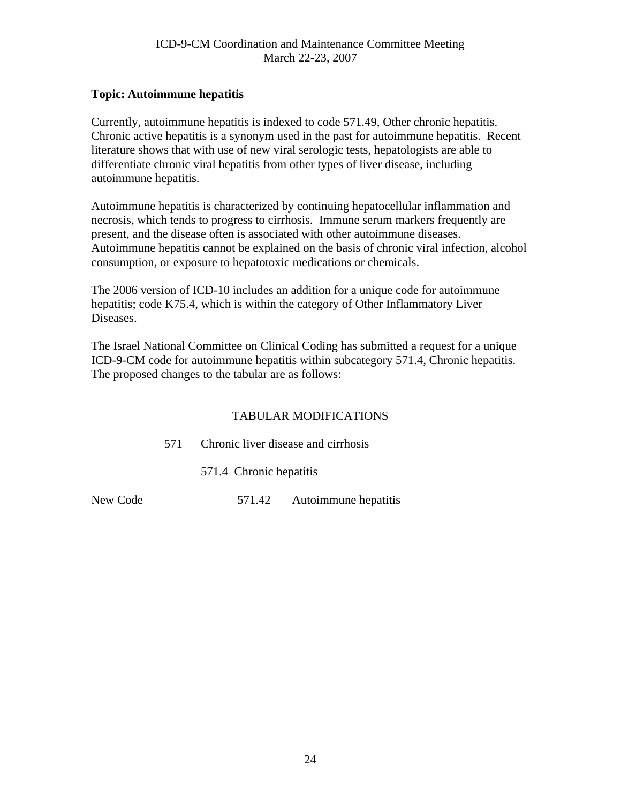# <span id="page-23-0"></span>**Topic: Autoimmune hepatitis**

Currently, autoimmune hepatitis is indexed to code 571.49, Other chronic hepatitis. Chronic active hepatitis is a synonym used in the past for autoimmune hepatitis. Recent literature shows that with use of new viral serologic tests, hepatologists are able to differentiate chronic viral hepatitis from other types of liver disease, including autoimmune hepatitis.

Autoimmune hepatitis is characterized by continuing hepatocellular inflammation and necrosis, which tends to progress to cirrhosis. Immune serum markers frequently are present, and the disease often is associated with other autoimmune diseases. Autoimmune hepatitis cannot be explained on the basis of chronic viral infection, alcohol consumption, or exposure to hepatotoxic medications or chemicals.

The 2006 version of ICD-10 includes an addition for a unique code for autoimmune hepatitis; code K75.4, which is within the category of Other Inflammatory Liver Diseases.

The Israel National Committee on Clinical Coding has submitted a request for a unique ICD-9-CM code for autoimmune hepatitis within subcategory 571.4, Chronic hepatitis. The proposed changes to the tabular are as follows:

# TABULAR MODIFICATIONS

| Chronic liver disease and cirrhosis |  |
|-------------------------------------|--|
|                                     |  |

571.4 Chronic hepatitis

New Code 571.42 Autoimmune hepatitis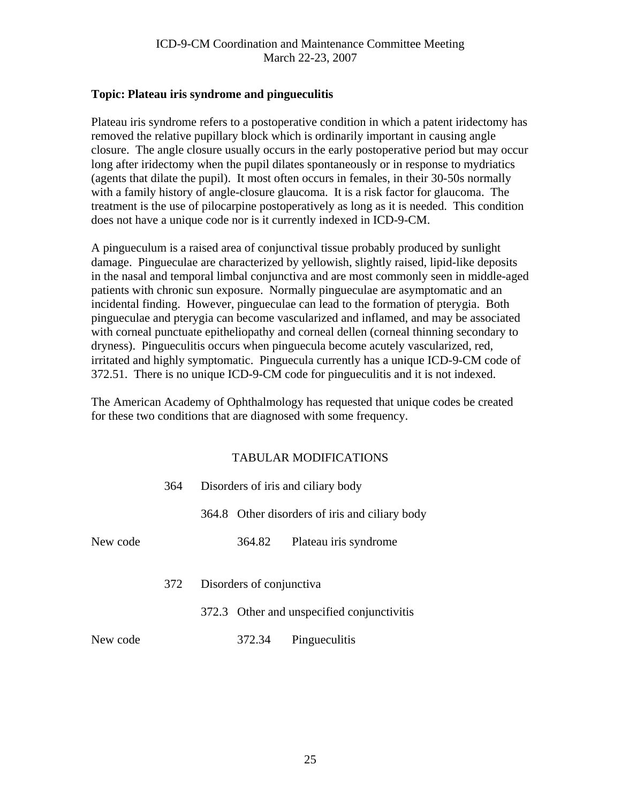# <span id="page-24-0"></span>**Topic: Plateau iris syndrome and pingueculitis**

Plateau iris syndrome refers to a postoperative condition in which a patent iridectomy has removed the relative pupillary block which is ordinarily important in causing angle closure. The angle closure usually occurs in the early postoperative period but may occur long after iridectomy when the pupil dilates spontaneously or in response to mydriatics (agents that dilate the pupil). It most often occurs in females, in their 30-50s normally with a family history of angle-closure glaucoma. It is a risk factor for glaucoma. The treatment is the use of pilocarpine postoperatively as long as it is needed. This condition does not have a unique code nor is it currently indexed in ICD-9-CM.

A pingueculum is a raised area of conjunctival tissue probably produced by sunlight damage. Pingueculae are characterized by yellowish, slightly raised, lipid-like deposits in the nasal and temporal limbal conjunctiva and are most commonly seen in middle-aged patients with chronic sun exposure. Normally pingueculae are asymptomatic and an incidental finding. However, pingueculae can lead to the formation of pterygia. Both pingueculae and pterygia can become vascularized and inflamed, and may be associated with corneal punctuate epitheliopathy and corneal dellen (corneal thinning secondary to dryness). Pingueculitis occurs when pinguecula become acutely vascularized, red, irritated and highly symptomatic. Pinguecula currently has a unique ICD-9-CM code of 372.51. There is no unique ICD-9-CM code for pingueculitis and it is not indexed.

The American Academy of Ophthalmology has requested that unique codes be created for these two conditions that are diagnosed with some frequency.

|          | 364 | Disorders of iris and ciliary body |                          |                                                |
|----------|-----|------------------------------------|--------------------------|------------------------------------------------|
|          |     |                                    |                          | 364.8 Other disorders of iris and ciliary body |
| New code |     |                                    | 364.82                   | Plateau iris syndrome                          |
|          | 372 |                                    | Disorders of conjunctiva |                                                |
|          |     |                                    |                          | 372.3 Other and unspecified conjunctivitis     |
| New code |     |                                    | 372.34                   | Pingueculitis                                  |
|          |     |                                    |                          |                                                |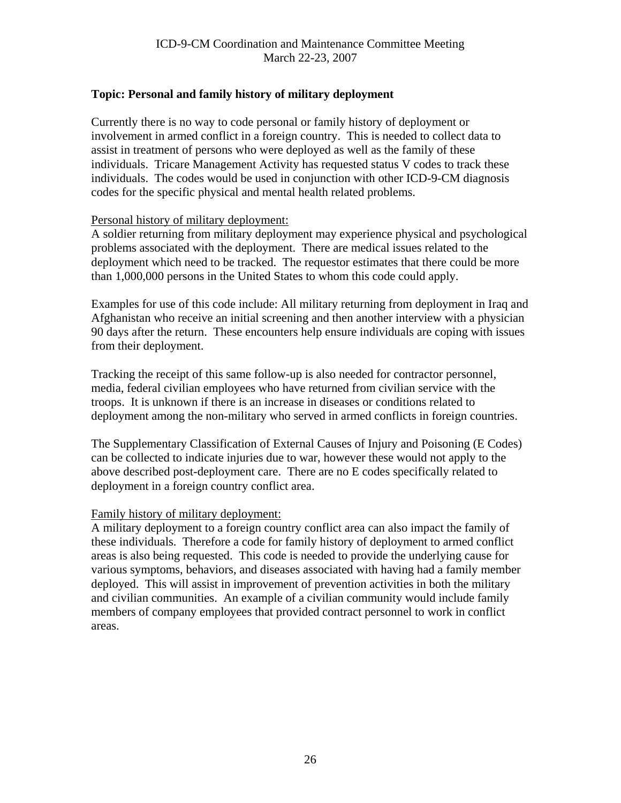# <span id="page-25-0"></span>**Topic: Personal and family history of military deployment**

Currently there is no way to code personal or family history of deployment or involvement in armed conflict in a foreign country. This is needed to collect data to assist in treatment of persons who were deployed as well as the family of these individuals. Tricare Management Activity has requested status V codes to track these individuals. The codes would be used in conjunction with other ICD-9-CM diagnosis codes for the specific physical and mental health related problems.

# Personal history of military deployment:

A soldier returning from military deployment may experience physical and psychological problems associated with the deployment. There are medical issues related to the deployment which need to be tracked. The requestor estimates that there could be more than 1,000,000 persons in the United States to whom this code could apply.

Examples for use of this code include: All military returning from deployment in Iraq and Afghanistan who receive an initial screening and then another interview with a physician 90 days after the return. These encounters help ensure individuals are coping with issues from their deployment.

Tracking the receipt of this same follow-up is also needed for contractor personnel, media, federal civilian employees who have returned from civilian service with the troops. It is unknown if there is an increase in diseases or conditions related to deployment among the non-military who served in armed conflicts in foreign countries.

The Supplementary Classification of External Causes of Injury and Poisoning (E Codes) can be collected to indicate injuries due to war, however these would not apply to the above described post-deployment care. There are no E codes specifically related to deployment in a foreign country conflict area.

# Family history of military deployment:

A military deployment to a foreign country conflict area can also impact the family of these individuals. Therefore a code for family history of deployment to armed conflict areas is also being requested. This code is needed to provide the underlying cause for various symptoms, behaviors, and diseases associated with having had a family member deployed. This will assist in improvement of prevention activities in both the military and civilian communities. An example of a civilian community would include family members of company employees that provided contract personnel to work in conflict areas.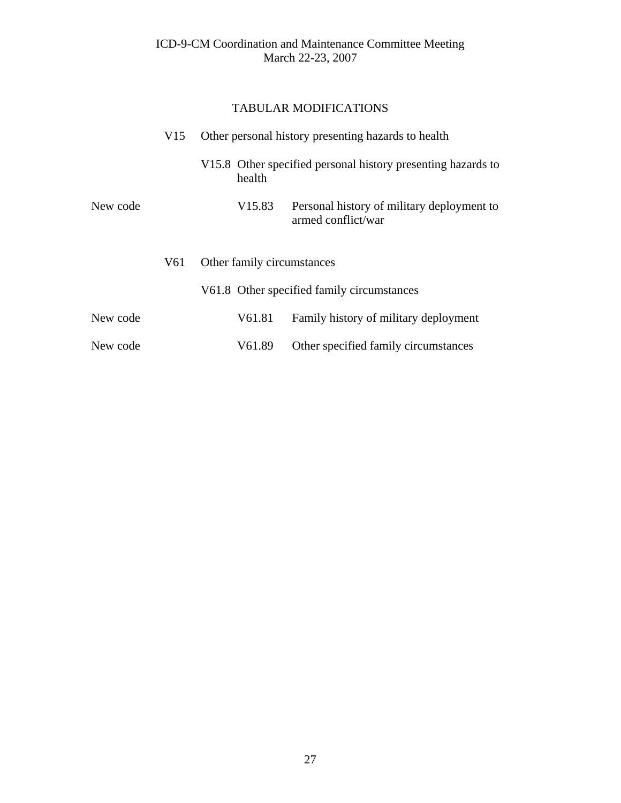|          | V15 | Other personal history presenting hazards to health |                                                                  |  |  |  |
|----------|-----|-----------------------------------------------------|------------------------------------------------------------------|--|--|--|
|          |     | health                                              | V15.8 Other specified personal history presenting hazards to     |  |  |  |
| New code |     | V15.83                                              | Personal history of military deployment to<br>armed conflict/war |  |  |  |
|          | V61 |                                                     | Other family circumstances                                       |  |  |  |
|          |     |                                                     | V61.8 Other specified family circumstances                       |  |  |  |
| New code |     | V61.81                                              | Family history of military deployment                            |  |  |  |
| New code |     | V <sub>61.89</sub>                                  | Other specified family circumstances                             |  |  |  |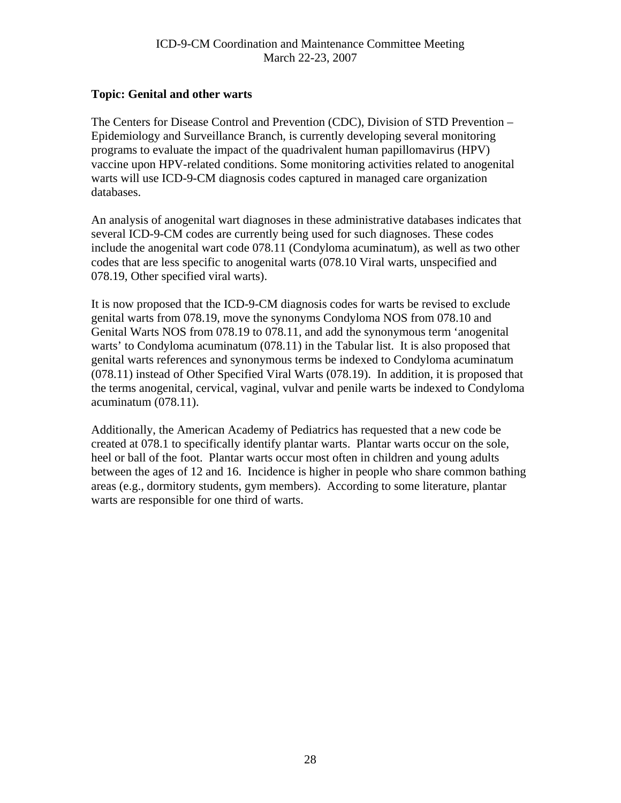# <span id="page-27-0"></span>**Topic: Genital and other warts**

The Centers for Disease Control and Prevention (CDC), Division of STD Prevention – Epidemiology and Surveillance Branch, is currently developing several monitoring programs to evaluate the impact of the quadrivalent human papillomavirus (HPV) vaccine upon HPV-related conditions. Some monitoring activities related to anogenital warts will use ICD-9-CM diagnosis codes captured in managed care organization databases.

An analysis of anogenital wart diagnoses in these administrative databases indicates that several ICD-9-CM codes are currently being used for such diagnoses. These codes include the anogenital wart code 078.11 (Condyloma acuminatum), as well as two other codes that are less specific to anogenital warts (078.10 Viral warts, unspecified and 078.19, Other specified viral warts).

It is now proposed that the ICD-9-CM diagnosis codes for warts be revised to exclude genital warts from 078.19, move the synonyms Condyloma NOS from 078.10 and Genital Warts NOS from 078.19 to 078.11, and add the synonymous term 'anogenital warts' to Condyloma acuminatum (078.11) in the Tabular list. It is also proposed that genital warts references and synonymous terms be indexed to Condyloma acuminatum (078.11) instead of Other Specified Viral Warts (078.19). In addition, it is proposed that the terms anogenital, cervical, vaginal, vulvar and penile warts be indexed to Condyloma acuminatum (078.11).

Additionally, the American Academy of Pediatrics has requested that a new code be created at 078.1 to specifically identify plantar warts. Plantar warts occur on the sole, heel or ball of the foot. Plantar warts occur most often in children and young adults between the ages of 12 and 16. Incidence is higher in people who share common bathing areas (e.g., dormitory students, gym members). According to some literature, plantar warts are responsible for one third of warts.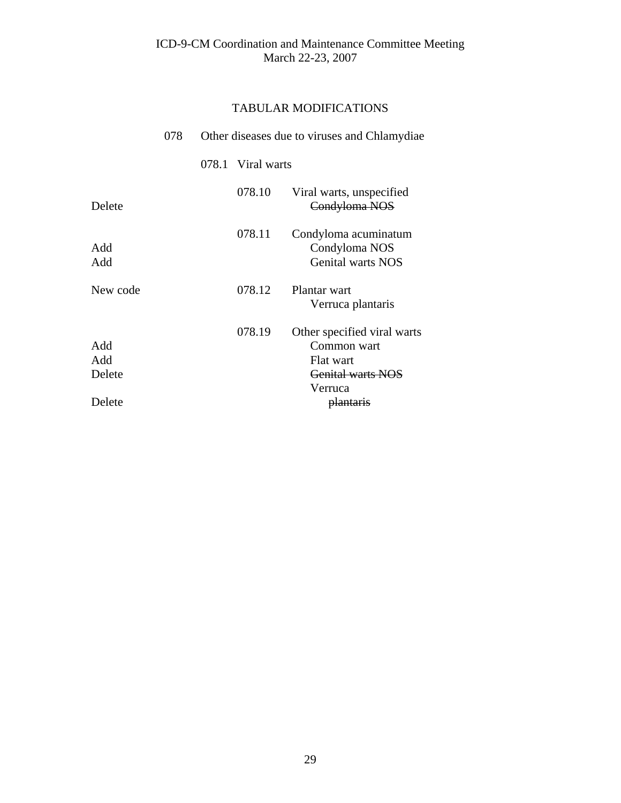|                      | 078 | Other diseases due to viruses and Chlamydiae |                   |                                                                                         |
|----------------------|-----|----------------------------------------------|-------------------|-----------------------------------------------------------------------------------------|
|                      |     |                                              | 078.1 Viral warts |                                                                                         |
| Delete               |     |                                              | 078.10            | Viral warts, unspecified<br>Condyloma <sub>NOS</sub>                                    |
| Add<br>Add           |     |                                              | 078.11            | Condyloma acuminatum<br>Condyloma NOS<br><b>Genital warts NOS</b>                       |
| New code             |     |                                              | 078.12            | Plantar wart<br>Verruca plantaris                                                       |
| Add<br>Add<br>Delete |     |                                              | 078.19            | Other specified viral warts<br>Common wart<br>Flat wart<br>Genital warts NOS<br>Verruca |
| Delete               |     |                                              |                   | <del>plantaris</del>                                                                    |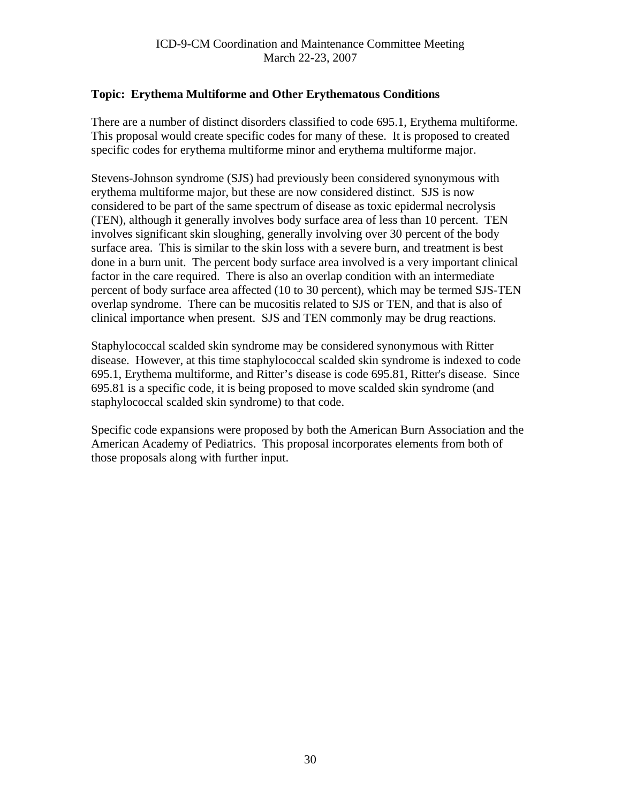# <span id="page-29-0"></span>**Topic: Erythema Multiforme and Other Erythematous Conditions**

There are a number of distinct disorders classified to code 695.1, Erythema multiforme. This proposal would create specific codes for many of these. It is proposed to created specific codes for erythema multiforme minor and erythema multiforme major.

Stevens-Johnson syndrome (SJS) had previously been considered synonymous with erythema multiforme major, but these are now considered distinct. SJS is now considered to be part of the same spectrum of disease as toxic epidermal necrolysis (TEN), although it generally involves body surface area of less than 10 percent. TEN involves significant skin sloughing, generally involving over 30 percent of the body surface area. This is similar to the skin loss with a severe burn, and treatment is best done in a burn unit. The percent body surface area involved is a very important clinical factor in the care required. There is also an overlap condition with an intermediate percent of body surface area affected (10 to 30 percent), which may be termed SJS-TEN overlap syndrome. There can be mucositis related to SJS or TEN, and that is also of clinical importance when present. SJS and TEN commonly may be drug reactions.

Staphylococcal scalded skin syndrome may be considered synonymous with Ritter disease. However, at this time staphylococcal scalded skin syndrome is indexed to code 695.1, Erythema multiforme, and Ritter's disease is code 695.81, Ritter's disease. Since 695.81 is a specific code, it is being proposed to move scalded skin syndrome (and staphylococcal scalded skin syndrome) to that code.

Specific code expansions were proposed by both the American Burn Association and the American Academy of Pediatrics. This proposal incorporates elements from both of those proposals along with further input.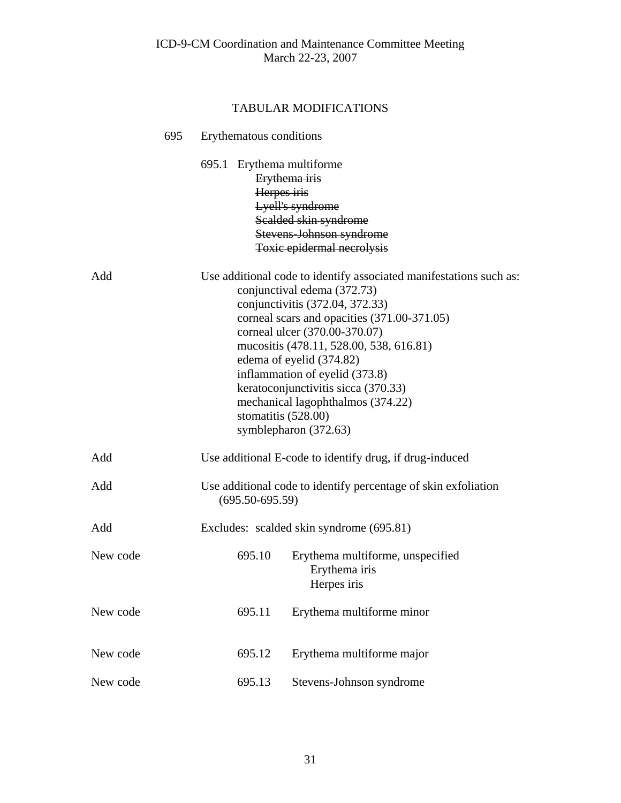|          | 695 | Erythematous conditions |                     |                                                                                                                                                                                                                                                                                                                                                                                                                                    |  |  |
|----------|-----|-------------------------|---------------------|------------------------------------------------------------------------------------------------------------------------------------------------------------------------------------------------------------------------------------------------------------------------------------------------------------------------------------------------------------------------------------------------------------------------------------|--|--|
|          |     |                         | Herpes iris         | 695.1 Erythema multiforme<br>Erythema iris<br>Lyell's syndrome<br>Scalded skin syndrome<br><b>Stevens-Johnson syndrome</b><br>Toxic epidermal necrolysis                                                                                                                                                                                                                                                                           |  |  |
| Add      |     |                         | stomatitis (528.00) | Use additional code to identify associated manifestations such as:<br>conjunctival edema (372.73)<br>conjunctivitis (372.04, 372.33)<br>corneal scars and opacities (371.00-371.05)<br>corneal ulcer (370.00-370.07)<br>mucositis (478.11, 528.00, 538, 616.81)<br>edema of eyelid (374.82)<br>inflammation of eyelid (373.8)<br>keratoconjunctivitis sicca (370.33)<br>mechanical lagophthalmos (374.22)<br>symblepharon (372.63) |  |  |
| Add      |     |                         |                     | Use additional E-code to identify drug, if drug-induced                                                                                                                                                                                                                                                                                                                                                                            |  |  |
| Add      |     |                         | $(695.50 - 695.59)$ | Use additional code to identify percentage of skin exfoliation                                                                                                                                                                                                                                                                                                                                                                     |  |  |
| Add      |     |                         |                     | Excludes: scalded skin syndrome (695.81)                                                                                                                                                                                                                                                                                                                                                                                           |  |  |
| New code |     |                         | 695.10              | Erythema multiforme, unspecified<br>Erythema iris<br>Herpes iris                                                                                                                                                                                                                                                                                                                                                                   |  |  |
| New code |     |                         | 695.11              | Erythema multiforme minor                                                                                                                                                                                                                                                                                                                                                                                                          |  |  |
| New code |     |                         | 695.12              | Erythema multiforme major                                                                                                                                                                                                                                                                                                                                                                                                          |  |  |
| New code |     |                         | 695.13              | Stevens-Johnson syndrome                                                                                                                                                                                                                                                                                                                                                                                                           |  |  |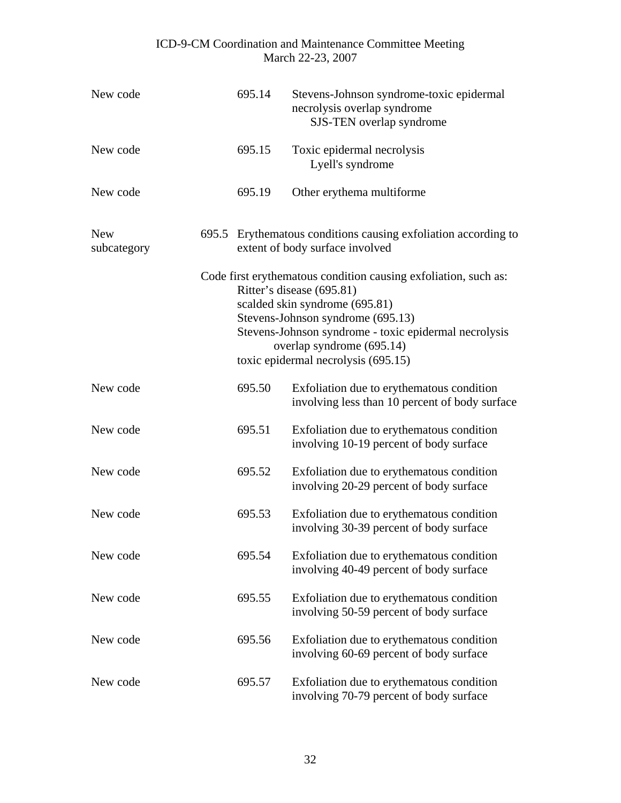| New code                  | 695.14 | Stevens-Johnson syndrome-toxic epidermal<br>necrolysis overlap syndrome<br>SJS-TEN overlap syndrome                                                                                                                                                                                              |
|---------------------------|--------|--------------------------------------------------------------------------------------------------------------------------------------------------------------------------------------------------------------------------------------------------------------------------------------------------|
| New code                  | 695.15 | Toxic epidermal necrolysis<br>Lyell's syndrome                                                                                                                                                                                                                                                   |
| New code                  | 695.19 | Other erythema multiforme                                                                                                                                                                                                                                                                        |
| <b>New</b><br>subcategory |        | 695.5 Erythematous conditions causing exfoliation according to<br>extent of body surface involved                                                                                                                                                                                                |
|                           |        | Code first erythematous condition causing exfoliation, such as:<br>Ritter's disease (695.81)<br>scalded skin syndrome (695.81)<br>Stevens-Johnson syndrome (695.13)<br>Stevens-Johnson syndrome - toxic epidermal necrolysis<br>overlap syndrome (695.14)<br>toxic epidermal necrolysis (695.15) |
| New code                  | 695.50 | Exfoliation due to erythematous condition<br>involving less than 10 percent of body surface                                                                                                                                                                                                      |
| New code                  | 695.51 | Exfoliation due to erythematous condition<br>involving 10-19 percent of body surface                                                                                                                                                                                                             |
| New code                  | 695.52 | Exfoliation due to erythematous condition<br>involving 20-29 percent of body surface                                                                                                                                                                                                             |
| New code                  | 695.53 | Exfoliation due to erythematous condition<br>involving 30-39 percent of body surface                                                                                                                                                                                                             |
| New code                  | 695.54 | Exfoliation due to erythematous condition<br>involving 40-49 percent of body surface                                                                                                                                                                                                             |
| New code                  | 695.55 | Exfoliation due to erythematous condition<br>involving 50-59 percent of body surface                                                                                                                                                                                                             |
| New code                  | 695.56 | Exfoliation due to erythematous condition<br>involving 60-69 percent of body surface                                                                                                                                                                                                             |
| New code                  | 695.57 | Exfoliation due to erythematous condition<br>involving 70-79 percent of body surface                                                                                                                                                                                                             |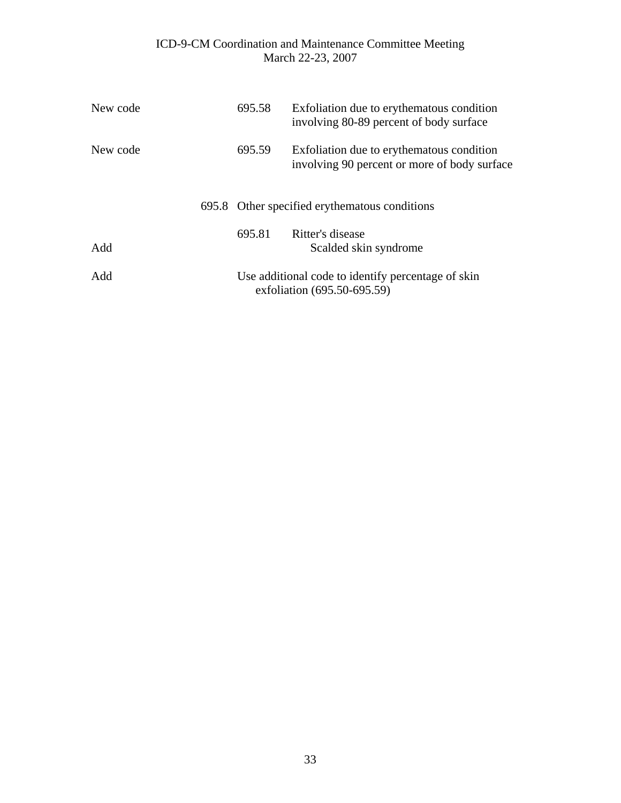| New code | 695.58                                        | Exfoliation due to erythematous condition<br>involving 80-89 percent of body surface      |
|----------|-----------------------------------------------|-------------------------------------------------------------------------------------------|
| New code | 695.59                                        | Exfoliation due to erythematous condition<br>involving 90 percent or more of body surface |
|          | 695.8 Other specified erythematous conditions |                                                                                           |
| Add      | 695.81                                        | Ritter's disease<br>Scalded skin syndrome                                                 |
| Add      |                                               | Use additional code to identify percentage of skin<br>exfoliation (695.50-695.59)         |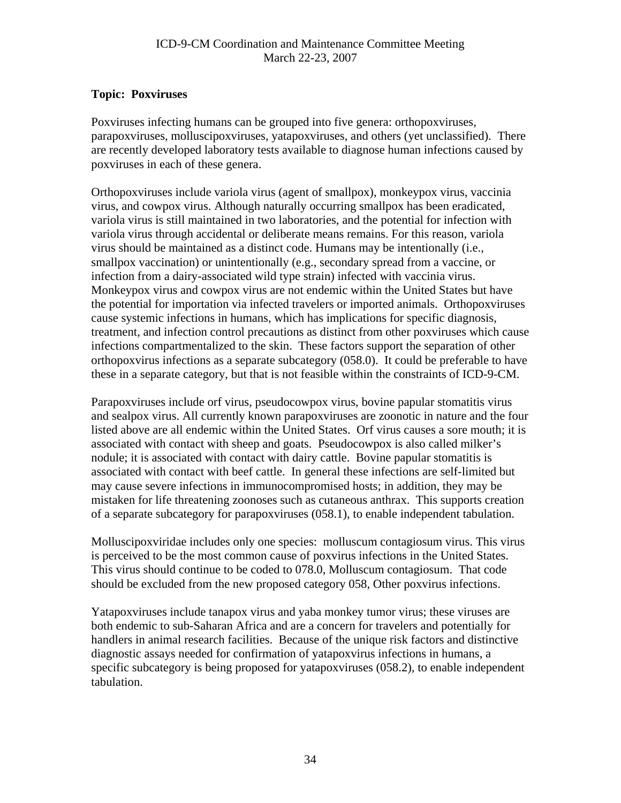# <span id="page-33-0"></span>**Topic: Poxviruses**

Poxviruses infecting humans can be grouped into five genera: orthopoxviruses, parapoxviruses, molluscipoxviruses, yatapoxviruses, and others (yet unclassified). There are recently developed laboratory tests available to diagnose human infections caused by poxviruses in each of these genera.

Orthopoxviruses include variola virus (agent of smallpox), monkeypox virus, vaccinia virus, and cowpox virus. Although naturally occurring smallpox has been eradicated, variola virus is still maintained in two laboratories, and the potential for infection with variola virus through accidental or deliberate means remains. For this reason, variola virus should be maintained as a distinct code. Humans may be intentionally (i.e., smallpox vaccination) or unintentionally (e.g., secondary spread from a vaccine, or infection from a dairy-associated wild type strain) infected with vaccinia virus. Monkeypox virus and cowpox virus are not endemic within the United States but have the potential for importation via infected travelers or imported animals. Orthopoxviruses cause systemic infections in humans, which has implications for specific diagnosis, treatment, and infection control precautions as distinct from other poxviruses which cause infections compartmentalized to the skin. These factors support the separation of other orthopoxvirus infections as a separate subcategory (058.0). It could be preferable to have these in a separate category, but that is not feasible within the constraints of ICD-9-CM.

Parapoxviruses include orf virus, pseudocowpox virus, bovine papular stomatitis virus and sealpox virus. All currently known parapoxviruses are zoonotic in nature and the four listed above are all endemic within the United States. Orf virus causes a sore mouth; it is associated with contact with sheep and goats. Pseudocowpox is also called milker's nodule; it is associated with contact with dairy cattle. Bovine papular stomatitis is associated with contact with beef cattle. In general these infections are self-limited but may cause severe infections in immunocompromised hosts; in addition, they may be mistaken for life threatening zoonoses such as cutaneous anthrax. This supports creation of a separate subcategory for parapoxviruses (058.1), to enable independent tabulation.

Molluscipoxviridae includes only one species: molluscum contagiosum virus. This virus is perceived to be the most common cause of poxvirus infections in the United States. This virus should continue to be coded to 078.0, Molluscum contagiosum. That code should be excluded from the new proposed category 058, Other poxvirus infections.

Yatapoxviruses include tanapox virus and yaba monkey tumor virus; these viruses are both endemic to sub-Saharan Africa and are a concern for travelers and potentially for handlers in animal research facilities. Because of the unique risk factors and distinctive diagnostic assays needed for confirmation of yatapoxvirus infections in humans, a specific subcategory is being proposed for yatapoxviruses (058.2), to enable independent tabulation.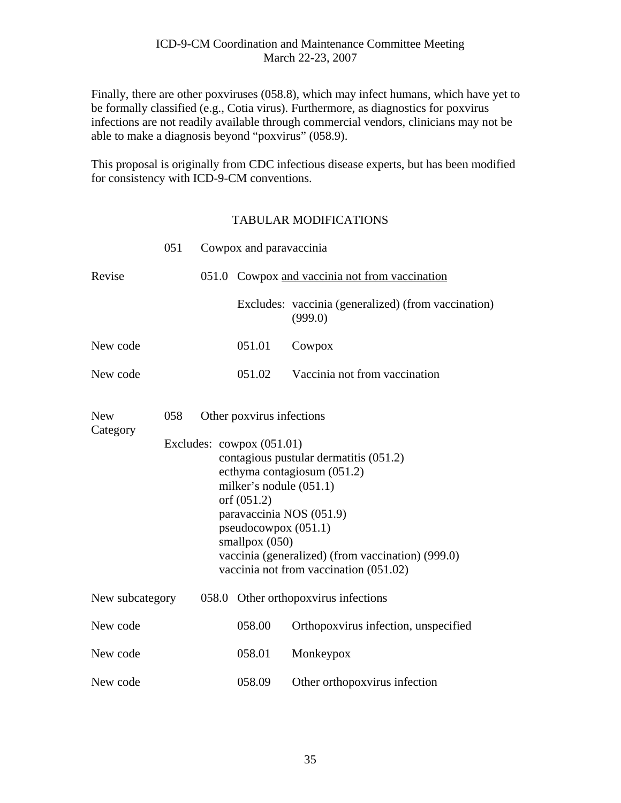Finally, there are other poxviruses (058.8), which may infect humans, which have yet to be formally classified (e.g., Cotia virus). Furthermore, as diagnostics for poxvirus infections are not readily available through commercial vendors, clinicians may not be able to make a diagnosis beyond "poxvirus" (058.9).

This proposal is originally from CDC infectious disease experts, but has been modified for consistency with ICD-9-CM conventions.

|                        | 051 | Cowpox and paravaccinia |                                                                                                                                                        |                                                                                                                                                        |
|------------------------|-----|-------------------------|--------------------------------------------------------------------------------------------------------------------------------------------------------|--------------------------------------------------------------------------------------------------------------------------------------------------------|
| Revise                 |     |                         |                                                                                                                                                        | 051.0 Cowpox and vaccinia not from vaccination                                                                                                         |
|                        |     |                         |                                                                                                                                                        | Excludes: vaccinia (generalized) (from vaccination)<br>(999.0)                                                                                         |
| New code               |     |                         | 051.01                                                                                                                                                 | Cowpox                                                                                                                                                 |
| New code               |     |                         | 051.02                                                                                                                                                 | Vaccinia not from vaccination                                                                                                                          |
| <b>New</b><br>Category | 058 |                         | Other poxvirus infections<br>Excludes: $\text{cowpox}(051.01)$<br>milker's nodule $(051.1)$<br>orf (051.2)<br>pseudocowpox $(051.1)$<br>smallpox (050) | contagious pustular dermatitis (051.2)<br>ecthyma contagiosum (051.2)<br>paravaccinia NOS (051.9)<br>vaccinia (generalized) (from vaccination) (999.0) |
| New subcategory        |     |                         |                                                                                                                                                        | vaccinia not from vaccination (051.02)<br>058.0 Other orthopoxyirus infections                                                                         |
|                        |     |                         |                                                                                                                                                        |                                                                                                                                                        |
| New code               |     |                         | 058.00                                                                                                                                                 | Orthopoxvirus infection, unspecified                                                                                                                   |
| New code               |     |                         | 058.01                                                                                                                                                 | Monkeypox                                                                                                                                              |
| New code               |     |                         | 058.09                                                                                                                                                 | Other orthopoxvirus infection                                                                                                                          |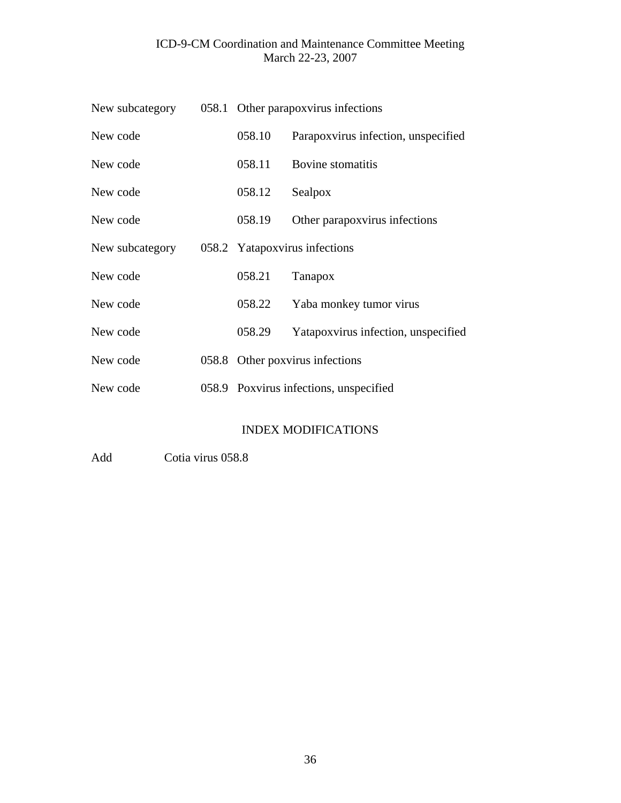| New subcategory |        | 058.1 Other parapoxvirus infections    |
|-----------------|--------|----------------------------------------|
| New code        | 058.10 | Parapoxvirus infection, unspecified    |
| New code        | 058.11 | Bovine stomatitis                      |
| New code        | 058.12 | Sealpox                                |
| New code        | 058.19 | Other parapoxvirus infections          |
| New subcategory |        | 058.2 Yatapoxvirus infections          |
| New code        | 058.21 | Tanapox                                |
| New code        | 058.22 | Yaba monkey tumor virus                |
| New code        | 058.29 | Yatapoxvirus infection, unspecified    |
| New code        |        | 058.8 Other poxvirus infections        |
| New code        |        | 058.9 Poxvirus infections, unspecified |
|                 |        |                                        |

# INDEX MODIFICATIONS

Add Cotia virus 058.8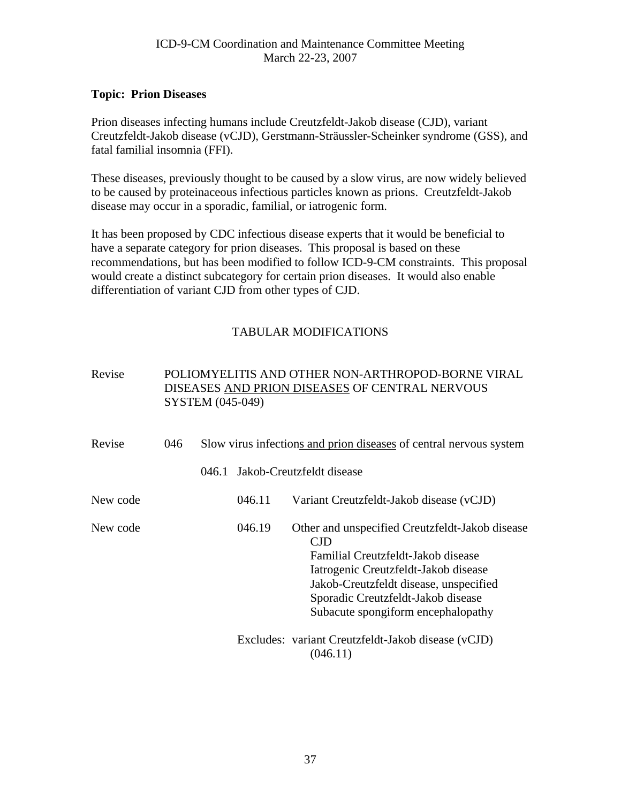### <span id="page-36-0"></span>**Topic: Prion Diseases**

Prion diseases infecting humans include Creutzfeldt-Jakob disease (CJD), variant Creutzfeldt-Jakob disease (vCJD), Gerstmann-Sträussler-Scheinker syndrome (GSS), and fatal familial insomnia (FFI).

These diseases, previously thought to be caused by a slow virus, are now widely believed to be caused by proteinaceous infectious particles known as prions. Creutzfeldt-Jakob disease may occur in a sporadic, familial, or iatrogenic form.

It has been proposed by CDC infectious disease experts that it would be beneficial to have a separate category for prion diseases. This proposal is based on these recommendations, but has been modified to follow ICD-9-CM constraints. This proposal would create a distinct subcategory for certain prion diseases. It would also enable differentiation of variant CJD from other types of CJD.

| Revise   |     | POLIOMYELITIS AND OTHER NON-ARTHROPOD-BORNE VIRAL<br>DISEASES AND PRION DISEASES OF CENTRAL NERVOUS<br>SYSTEM (045-049) |        |                                                                                                                                                                                                                                                                   |  |
|----------|-----|-------------------------------------------------------------------------------------------------------------------------|--------|-------------------------------------------------------------------------------------------------------------------------------------------------------------------------------------------------------------------------------------------------------------------|--|
| Revise   | 046 |                                                                                                                         |        | Slow virus infections and prion diseases of central nervous system                                                                                                                                                                                                |  |
|          |     | 046.1                                                                                                                   |        | Jakob-Creutzfeldt disease                                                                                                                                                                                                                                         |  |
| New code |     |                                                                                                                         | 046.11 | Variant Creutzfeldt-Jakob disease (vCJD)                                                                                                                                                                                                                          |  |
| New code |     |                                                                                                                         | 046.19 | Other and unspecified Creutzfeldt-Jakob disease<br><b>CJD</b><br>Familial Creutzfeldt-Jakob disease<br>Iatrogenic Creutzfeldt-Jakob disease<br>Jakob-Creutzfeldt disease, unspecified<br>Sporadic Creutzfeldt-Jakob disease<br>Subacute spongiform encephalopathy |  |
|          |     |                                                                                                                         |        | Excludes: variant Creutzfeldt-Jakob disease (vCJD)<br>(046.11)                                                                                                                                                                                                    |  |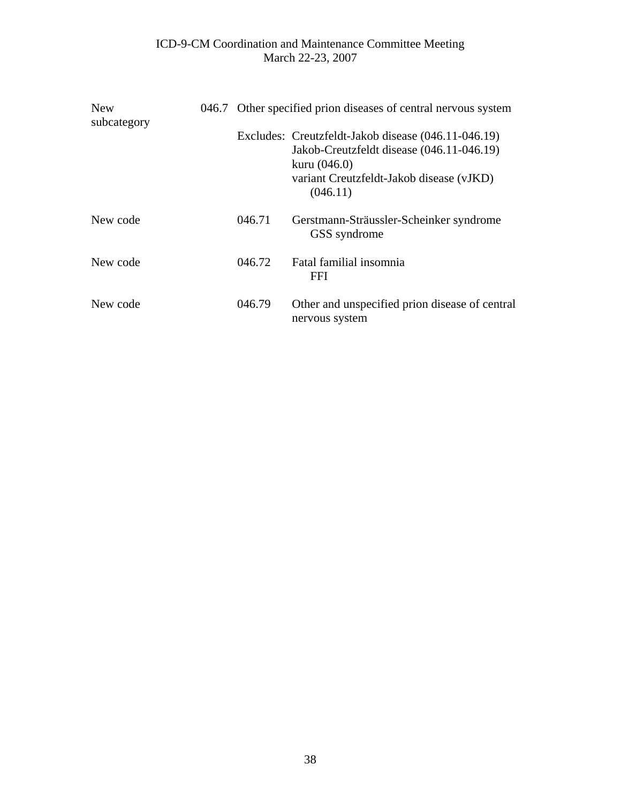| <b>New</b><br>subcategory | 046.7 Other specified prion diseases of central nervous system |                                                                                                                                                                            |  |
|---------------------------|----------------------------------------------------------------|----------------------------------------------------------------------------------------------------------------------------------------------------------------------------|--|
|                           |                                                                | Excludes: Creutzfeldt-Jakob disease (046.11-046.19)<br>Jakob-Creutzfeldt disease (046.11-046.19)<br>kuru $(046.0)$<br>variant Creutzfeldt-Jakob disease (vJKD)<br>(046.11) |  |
| New code                  | 046.71                                                         | Gerstmann-Sträussler-Scheinker syndrome<br>GSS syndrome                                                                                                                    |  |
| New code                  | 046.72                                                         | Fatal familial insomnia<br>FFI                                                                                                                                             |  |
| New code                  | 046.79                                                         | Other and unspecified prion disease of central<br>nervous system                                                                                                           |  |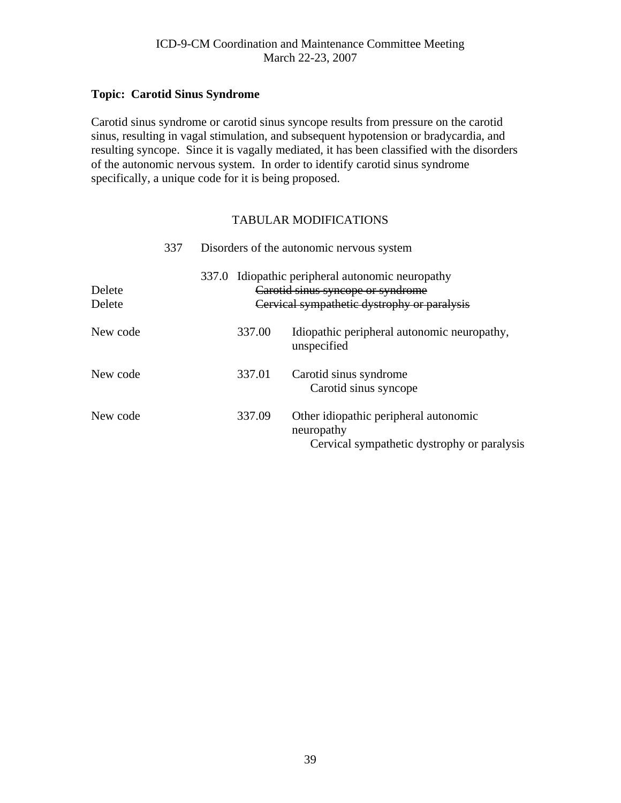# <span id="page-38-0"></span>**Topic: Carotid Sinus Syndrome**

Carotid sinus syndrome or carotid sinus syncope results from pressure on the carotid sinus, resulting in vagal stimulation, and subsequent hypotension or bradycardia, and resulting syncope. Since it is vagally mediated, it has been classified with the disorders of the autonomic nervous system. In order to identify carotid sinus syndrome specifically, a unique code for it is being proposed.

|                  | 337 | Disorders of the autonomic nervous system |        |                                                                                                                                |  |  |
|------------------|-----|-------------------------------------------|--------|--------------------------------------------------------------------------------------------------------------------------------|--|--|
| Delete<br>Delete |     | 337.0                                     |        | Idiopathic peripheral autonomic neuropathy<br>Carotid sinus syncope or syndrome<br>Cervical sympathetic dystrophy or paralysis |  |  |
| New code         |     |                                           | 337.00 | Idiopathic peripheral autonomic neuropathy,<br>unspecified                                                                     |  |  |
| New code         |     |                                           | 337.01 | Carotid sinus syndrome<br>Carotid sinus syncope                                                                                |  |  |
| New code         |     |                                           | 337.09 | Other idiopathic peripheral autonomic<br>neuropathy<br>Cervical sympathetic dystrophy or paralysis                             |  |  |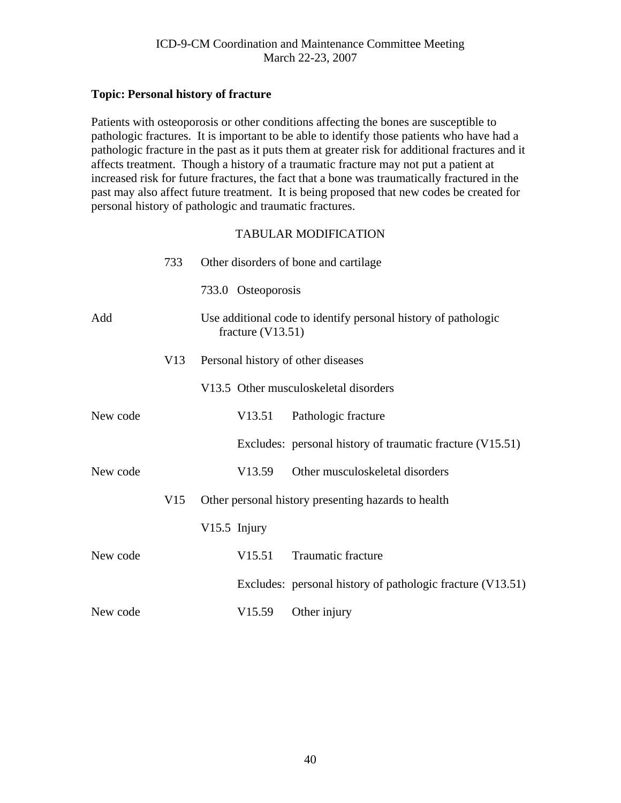# <span id="page-39-0"></span>**Topic: Personal history of fracture**

Patients with osteoporosis or other conditions affecting the bones are susceptible to pathologic fractures. It is important to be able to identify those patients who have had a pathologic fracture in the past as it puts them at greater risk for additional fractures and it affects treatment. Though a history of a traumatic fracture may not put a patient at increased risk for future fractures, the fact that a bone was traumatically fractured in the past may also affect future treatment. It is being proposed that new codes be created for personal history of pathologic and traumatic fractures.

|          | 733 | Other disorders of bone and cartilage                                                 |  |  |  |  |
|----------|-----|---------------------------------------------------------------------------------------|--|--|--|--|
|          |     | 733.0 Osteoporosis                                                                    |  |  |  |  |
| Add      |     | Use additional code to identify personal history of pathologic<br>fracture $(V13.51)$ |  |  |  |  |
|          | V13 | Personal history of other diseases                                                    |  |  |  |  |
|          |     | V13.5 Other musculoskeletal disorders                                                 |  |  |  |  |
| New code |     | Pathologic fracture<br>V13.51                                                         |  |  |  |  |
|          |     | Excludes: personal history of traumatic fracture (V15.51)                             |  |  |  |  |
| New code |     | Other musculoskeletal disorders<br>V <sub>13.59</sub>                                 |  |  |  |  |
|          | V15 | Other personal history presenting hazards to health                                   |  |  |  |  |
|          |     | V15.5 Injury                                                                          |  |  |  |  |
| New code |     | <b>Traumatic fracture</b><br>V15.51                                                   |  |  |  |  |
|          |     | Excludes: personal history of pathologic fracture (V13.51)                            |  |  |  |  |
| New code |     | Other injury<br>V <sub>15.59</sub>                                                    |  |  |  |  |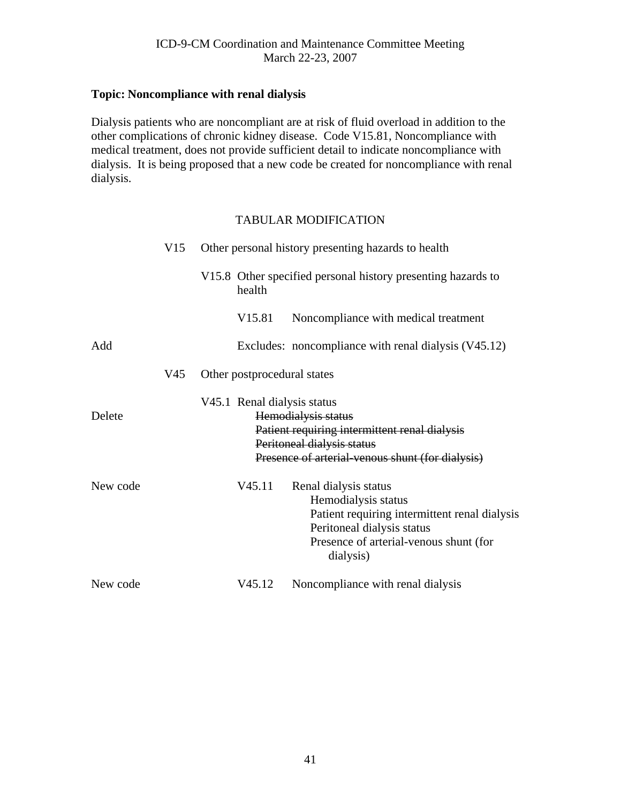# <span id="page-40-0"></span>**Topic: Noncompliance with renal dialysis**

Dialysis patients who are noncompliant are at risk of fluid overload in addition to the other complications of chronic kidney disease. Code V15.81, Noncompliance with medical treatment, does not provide sufficient detail to indicate noncompliance with dialysis. It is being proposed that a new code be created for noncompliance with renal dialysis.

|          | V15 | Other personal history presenting hazards to health |        |                                                                                                                                                                                       |  |  |
|----------|-----|-----------------------------------------------------|--------|---------------------------------------------------------------------------------------------------------------------------------------------------------------------------------------|--|--|
|          |     |                                                     | health | V15.8 Other specified personal history presenting hazards to                                                                                                                          |  |  |
|          |     |                                                     | V15.81 | Noncompliance with medical treatment                                                                                                                                                  |  |  |
| Add      |     |                                                     |        | Excludes: noncompliance with renal dialysis (V45.12)                                                                                                                                  |  |  |
|          | V45 |                                                     |        | Other postprocedural states                                                                                                                                                           |  |  |
| Delete   |     |                                                     |        | V45.1 Renal dialysis status<br>Hemodialysis status<br>Patient requiring intermittent renal dialysis<br>Peritoneal dialysis status<br>Presence of arterial-venous shunt (for dialysis) |  |  |
| New code |     |                                                     | V45.11 | Renal dialysis status<br>Hemodialysis status<br>Patient requiring intermittent renal dialysis<br>Peritoneal dialysis status<br>Presence of arterial-venous shunt (for<br>dialysis)    |  |  |
| New code |     |                                                     | V45.12 | Noncompliance with renal dialysis                                                                                                                                                     |  |  |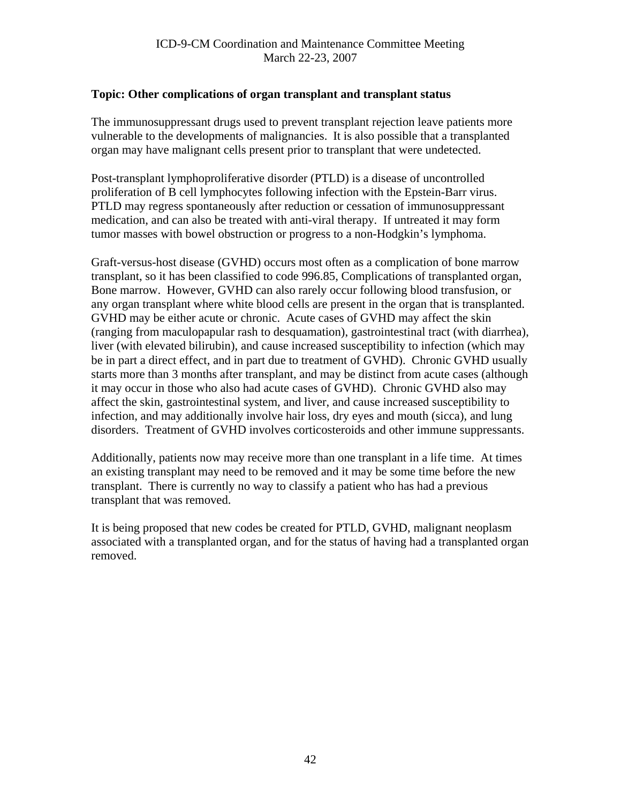# <span id="page-41-0"></span>**Topic: Other complications of organ transplant and transplant status**

The immunosuppressant drugs used to prevent transplant rejection leave patients more vulnerable to the developments of malignancies. It is also possible that a transplanted organ may have malignant cells present prior to transplant that were undetected.

Post-transplant lymphoproliferative disorder (PTLD) is a disease of uncontrolled proliferation of B cell lymphocytes following infection with the Epstein-Barr virus. PTLD may regress spontaneously after reduction or cessation of immunosuppressant medication, and can also be treated with anti-viral therapy. If untreated it may form tumor masses with bowel obstruction or progress to a non-Hodgkin's lymphoma.

Graft-versus-host disease (GVHD) occurs most often as a complication of bone marrow transplant, so it has been classified to code 996.85, Complications of transplanted organ, Bone marrow. However, GVHD can also rarely occur following blood transfusion, or any organ transplant where white blood cells are present in the organ that is transplanted. GVHD may be either acute or chronic. Acute cases of GVHD may affect the skin (ranging from maculopapular rash to desquamation), gastrointestinal tract (with diarrhea), liver (with elevated bilirubin), and cause increased susceptibility to infection (which may be in part a direct effect, and in part due to treatment of GVHD). Chronic GVHD usually starts more than 3 months after transplant, and may be distinct from acute cases (although it may occur in those who also had acute cases of GVHD). Chronic GVHD also may affect the skin, gastrointestinal system, and liver, and cause increased susceptibility to infection, and may additionally involve hair loss, dry eyes and mouth (sicca), and lung disorders. Treatment of GVHD involves corticosteroids and other immune suppressants.

Additionally, patients now may receive more than one transplant in a life time. At times an existing transplant may need to be removed and it may be some time before the new transplant. There is currently no way to classify a patient who has had a previous transplant that was removed.

It is being proposed that new codes be created for PTLD, GVHD, malignant neoplasm associated with a transplanted organ, and for the status of having had a transplanted organ removed.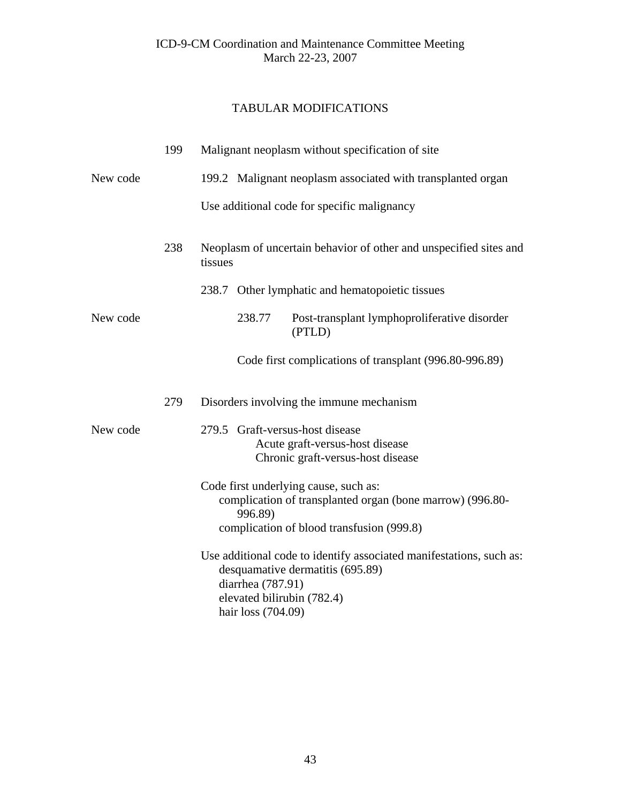|          | 199 | Malignant neoplasm without specification of site                                                                                                                                 |
|----------|-----|----------------------------------------------------------------------------------------------------------------------------------------------------------------------------------|
| New code |     | 199.2 Malignant neoplasm associated with transplanted organ                                                                                                                      |
|          |     | Use additional code for specific malignancy                                                                                                                                      |
|          | 238 | Neoplasm of uncertain behavior of other and unspecified sites and<br>tissues                                                                                                     |
|          |     | 238.7 Other lymphatic and hematopoietic tissues                                                                                                                                  |
| New code |     | 238.77<br>Post-transplant lymphoproliferative disorder<br>(PTLD)                                                                                                                 |
|          |     | Code first complications of transplant (996.80-996.89)                                                                                                                           |
|          | 279 | Disorders involving the immune mechanism                                                                                                                                         |
| New code |     | 279.5 Graft-versus-host disease<br>Acute graft-versus-host disease<br>Chronic graft-versus-host disease                                                                          |
|          |     | Code first underlying cause, such as:<br>complication of transplanted organ (bone marrow) (996.80-<br>996.89)<br>complication of blood transfusion (999.8)                       |
|          |     | Use additional code to identify associated manifestations, such as:<br>desquamative dermatitis (695.89)<br>diarrhea (787.91)<br>elevated bilirubin (782.4)<br>hair loss (704.09) |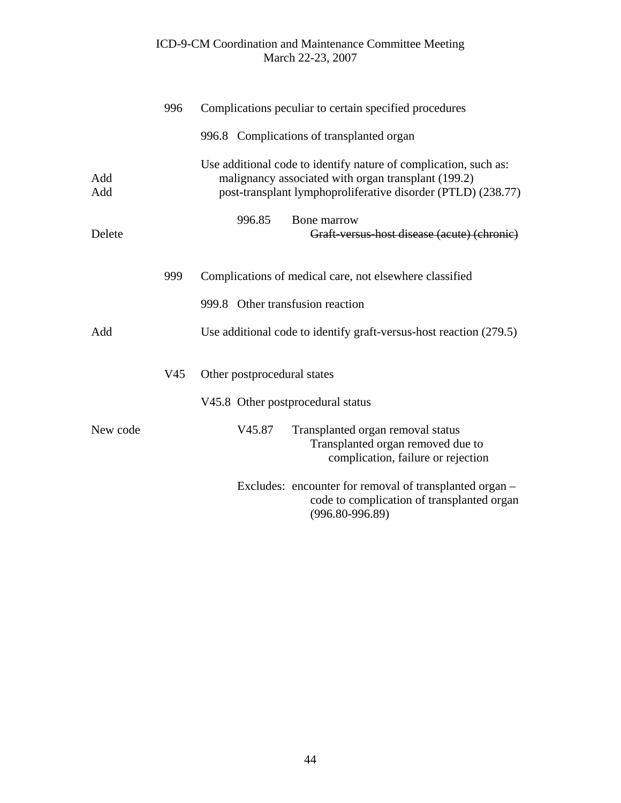|            | 996             | Complications peculiar to certain specified procedures                                                                                                                                  |  |  |  |
|------------|-----------------|-----------------------------------------------------------------------------------------------------------------------------------------------------------------------------------------|--|--|--|
|            |                 | 996.8 Complications of transplanted organ                                                                                                                                               |  |  |  |
| Add<br>Add |                 | Use additional code to identify nature of complication, such as:<br>malignancy associated with organ transplant (199.2)<br>post-transplant lymphoproliferative disorder (PTLD) (238.77) |  |  |  |
| Delete     |                 | 996.85<br>Bone marrow<br>Graft-versus-host disease (acute) (chronic)                                                                                                                    |  |  |  |
|            | 999             | Complications of medical care, not elsewhere classified                                                                                                                                 |  |  |  |
|            |                 | 999.8 Other transfusion reaction                                                                                                                                                        |  |  |  |
| Add        |                 | Use additional code to identify graft-versus-host reaction (279.5)                                                                                                                      |  |  |  |
|            | V <sub>45</sub> | Other postprocedural states                                                                                                                                                             |  |  |  |
|            |                 | V45.8 Other postprocedural status                                                                                                                                                       |  |  |  |
| New code   |                 | V45.87<br>Transplanted organ removal status<br>Transplanted organ removed due to<br>complication, failure or rejection                                                                  |  |  |  |
|            |                 | Excludes: encounter for removal of transplanted organ –<br>code to complication of transplanted organ<br>$(996.80 - 996.89)$                                                            |  |  |  |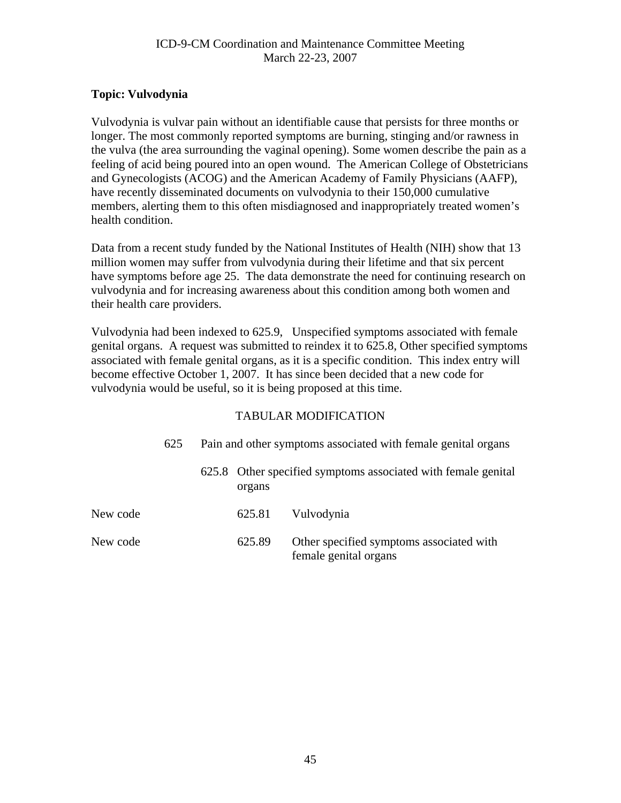# <span id="page-44-0"></span>**Topic: Vulvodynia**

Vulvodynia is vulvar pain without an identifiable cause that persists for three months or longer. The most commonly reported symptoms are burning, stinging and/or rawness in the vulva (the area surrounding the vaginal opening). Some women describe the pain as a feeling of acid being poured into an open wound. The American College of Obstetricians and Gynecologists (ACOG) and the American Academy of Family Physicians (AAFP), have recently disseminated documents on vulvodynia to their 150,000 cumulative members, alerting them to this often misdiagnosed and inappropriately treated women's health condition.

Data from a recent study funded by the National Institutes of Health (NIH) show that 13 million women may suffer from vulvodynia during their lifetime and that six percent have symptoms before age 25. The data demonstrate the need for continuing research on vulvodynia and for increasing awareness about this condition among both women and their health care providers.

Vulvodynia had been indexed to 625.9, Unspecified symptoms associated with female genital organs. A request was submitted to reindex it to 625.8, Other specified symptoms associated with female genital organs, as it is a specific condition. This index entry will become effective October 1, 2007. It has since been decided that a new code for vulvodynia would be useful, so it is being proposed at this time.

|          | 625 | Pain and other symptoms associated with female genital organs |                                                                   |  |  |
|----------|-----|---------------------------------------------------------------|-------------------------------------------------------------------|--|--|
|          |     | organs                                                        | 625.8 Other specified symptoms associated with female genital     |  |  |
| New code |     | 625.81                                                        | Vulvodynia                                                        |  |  |
| New code |     | 625.89                                                        | Other specified symptoms associated with<br>female genital organs |  |  |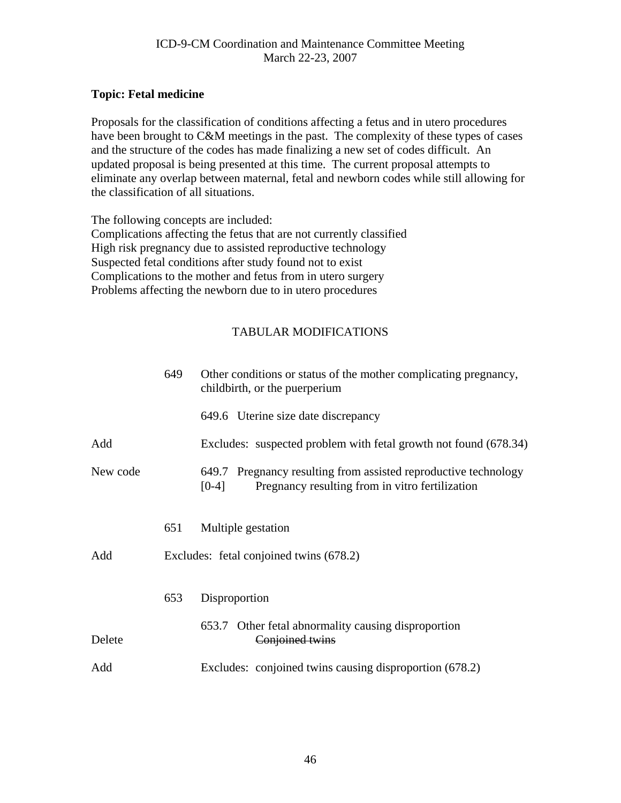# <span id="page-45-0"></span>**Topic: Fetal medicine**

Proposals for the classification of conditions affecting a fetus and in utero procedures have been brought to C&M meetings in the past. The complexity of these types of cases and the structure of the codes has made finalizing a new set of codes difficult. An updated proposal is being presented at this time. The current proposal attempts to eliminate any overlap between maternal, fetal and newborn codes while still allowing for the classification of all situations.

The following concepts are included: Complications affecting the fetus that are not currently classified High risk pregnancy due to assisted reproductive technology Suspected fetal conditions after study found not to exist Complications to the mother and fetus from in utero surgery Problems affecting the newborn due to in utero procedures

|          | 649 | Other conditions or status of the mother complicating pregnancy,<br>childbirth, or the puerperium                             |
|----------|-----|-------------------------------------------------------------------------------------------------------------------------------|
|          |     | 649.6 Uterine size date discrepancy                                                                                           |
| Add      |     | Excludes: suspected problem with fetal growth not found (678.34)                                                              |
| New code |     | 649.7 Pregnancy resulting from assisted reproductive technology<br>Pregnancy resulting from in vitro fertilization<br>$[0-4]$ |
|          | 651 | Multiple gestation                                                                                                            |
| Add      |     | Excludes: fetal conjoined twins (678.2)                                                                                       |
|          | 653 | Disproportion                                                                                                                 |
| Delete   |     | 653.7 Other fetal abnormality causing disproportion<br>Conjoined twins                                                        |
| Add      |     | Excludes: conjoined twins causing disproportion (678.2)                                                                       |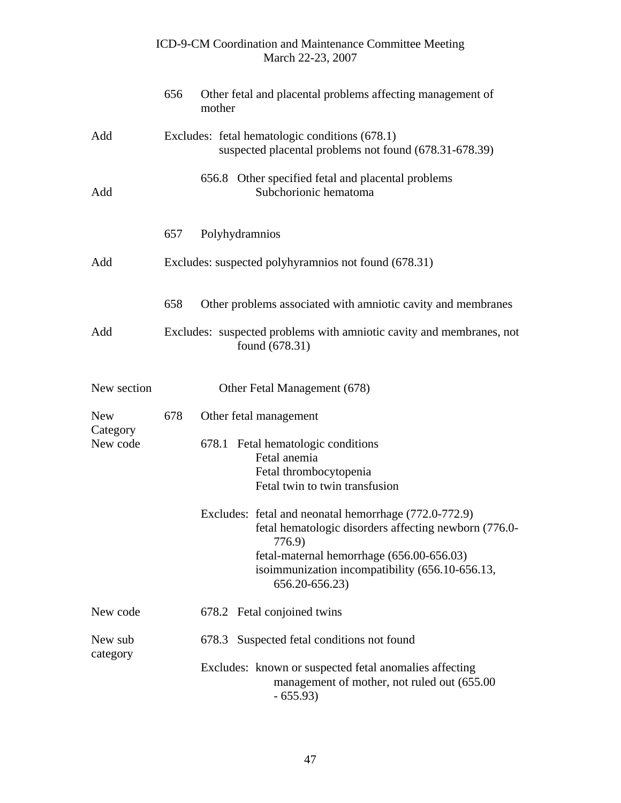|                        |     | ICD-9-CM Coordination and Maintenance Committee Meeting<br>March 22-23, 2007                                             |
|------------------------|-----|--------------------------------------------------------------------------------------------------------------------------|
|                        | 656 | Other fetal and placental problems affecting management of<br>mother                                                     |
| Add                    |     | Excludes: fetal hematologic conditions (678.1)<br>suspected placental problems not found (678.31-678.39)                 |
| Add                    |     | 656.8 Other specified fetal and placental problems<br>Subchorionic hematoma                                              |
|                        | 657 | Polyhydramnios                                                                                                           |
| Add                    |     | Excludes: suspected polyhyramnios not found (678.31)                                                                     |
|                        | 658 | Other problems associated with amniotic cavity and membranes                                                             |
| Add                    |     | Excludes: suspected problems with amniotic cavity and membranes, not<br>found (678.31)                                   |
| New section            |     | Other Fetal Management (678)                                                                                             |
| <b>New</b><br>Category | 678 | Other fetal management                                                                                                   |
| New code               |     | 678.1 Fetal hematologic conditions<br>Fetal anemia<br>Fetal thrombocytopenia<br>Fetal twin to twin transfusion           |
|                        |     | Excludes: fetal and neonatal hemorrhage (772.0-772.9)<br>fetal hematologic disorders affecting newborn (776.0-<br>776.9) |
|                        |     | fetal-maternal hemorrhage (656.00-656.03)<br>isoimmunization incompatibility (656.10-656.13,<br>656.20-656.23)           |
| New code               |     | 678.2 Fetal conjoined twins                                                                                              |
| New sub<br>category    |     | 678.3 Suspected fetal conditions not found                                                                               |
|                        |     | Excludes: known or suspected fetal anomalies affecting<br>management of mother, not ruled out (655.00<br>$-655.93$       |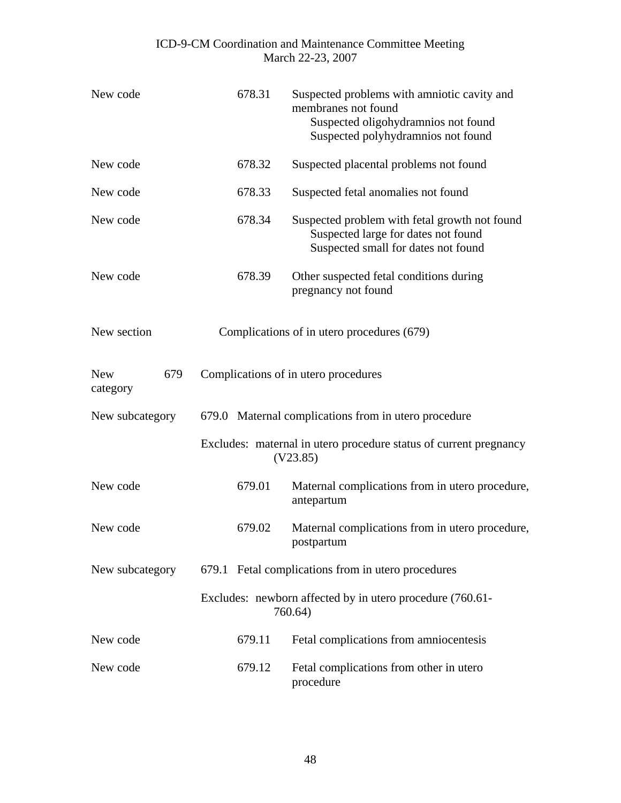| New code                      | 678.31 | Suspected problems with amniotic cavity and<br>membranes not found<br>Suspected oligohydramnios not found<br>Suspected polyhydramnios not found |
|-------------------------------|--------|-------------------------------------------------------------------------------------------------------------------------------------------------|
| New code                      | 678.32 | Suspected placental problems not found                                                                                                          |
| New code                      | 678.33 | Suspected fetal anomalies not found                                                                                                             |
| New code                      | 678.34 | Suspected problem with fetal growth not found<br>Suspected large for dates not found<br>Suspected small for dates not found                     |
| New code                      | 678.39 | Other suspected fetal conditions during<br>pregnancy not found                                                                                  |
| New section                   |        | Complications of in utero procedures (679)                                                                                                      |
| <b>New</b><br>679<br>category |        | Complications of in utero procedures                                                                                                            |
| New subcategory               |        | 679.0 Maternal complications from in utero procedure                                                                                            |
|                               |        | Excludes: maternal in utero procedure status of current pregnancy<br>(V23.85)                                                                   |
| New code                      | 679.01 | Maternal complications from in utero procedure,<br>antepartum                                                                                   |
| New code                      | 679.02 | Maternal complications from in utero procedure,<br>postpartum                                                                                   |
| New subcategory               |        | 679.1 Fetal complications from in utero procedures                                                                                              |
|                               |        | Excludes: newborn affected by in utero procedure (760.61-<br>760.64)                                                                            |
| New code                      | 679.11 | Fetal complications from amniocentesis                                                                                                          |
| New code                      | 679.12 | Fetal complications from other in utero<br>procedure                                                                                            |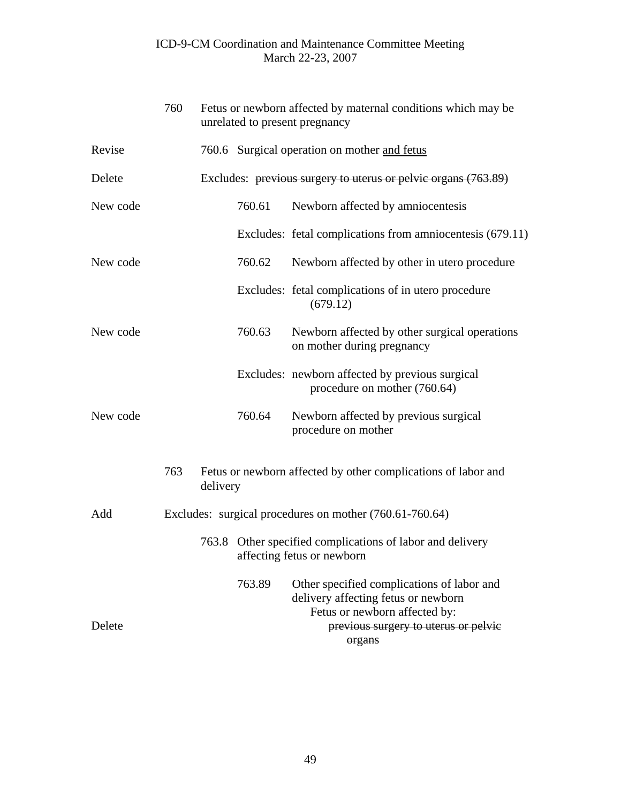|          | 760 |          |        | Fetus or newborn affected by maternal conditions which may be<br>unrelated to present pregnancy |
|----------|-----|----------|--------|-------------------------------------------------------------------------------------------------|
| Revise   |     |          |        | 760.6 Surgical operation on mother and fetus                                                    |
| Delete   |     |          |        | Excludes: previous surgery to uterus or pelvic organs (763.89)                                  |
| New code |     |          | 760.61 | Newborn affected by amniocentesis                                                               |
|          |     |          |        | Excludes: fetal complications from amniocentesis (679.11)                                       |
| New code |     |          | 760.62 | Newborn affected by other in utero procedure                                                    |
|          |     |          |        | Excludes: fetal complications of in utero procedure<br>(679.12)                                 |
| New code |     |          | 760.63 | Newborn affected by other surgical operations<br>on mother during pregnancy                     |
|          |     |          |        | Excludes: newborn affected by previous surgical<br>procedure on mother (760.64)                 |
| New code |     |          | 760.64 | Newborn affected by previous surgical<br>procedure on mother                                    |
|          | 763 | delivery |        | Fetus or newborn affected by other complications of labor and                                   |
| Add      |     |          |        | Excludes: surgical procedures on mother (760.61-760.64)                                         |
|          |     |          |        | 763.8 Other specified complications of labor and delivery<br>affecting fetus or newborn         |
|          |     |          | 763.89 | Other specified complications of labor and<br>delivery affecting fetus or newborn               |
| Delete   |     |          |        | Fetus or newborn affected by:<br>previous surgery to uterus or pelvic<br>organs                 |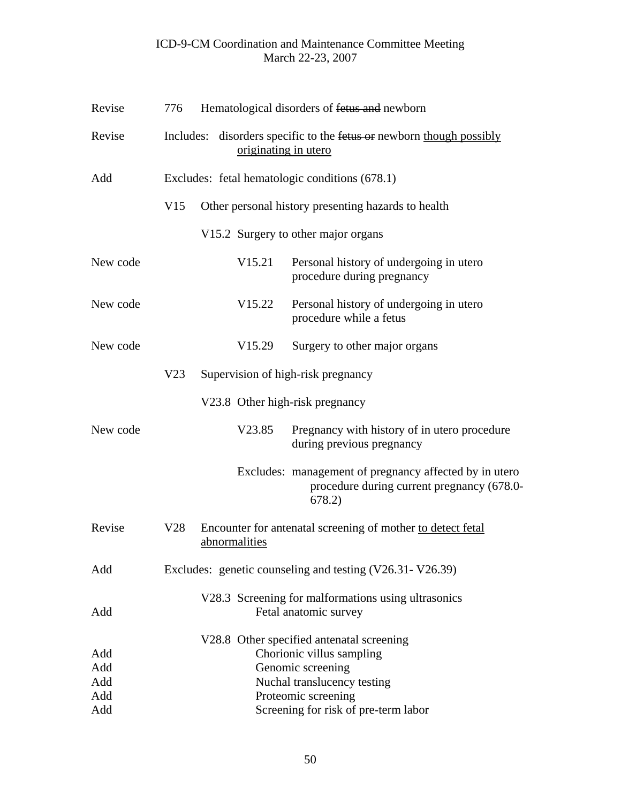| Revise                          | 776 |               |                      | Hematological disorders of fetus and newborn                                                                                                                                              |
|---------------------------------|-----|---------------|----------------------|-------------------------------------------------------------------------------------------------------------------------------------------------------------------------------------------|
| Revise                          |     |               | originating in utero | Includes: disorders specific to the fetus or newborn though possibly                                                                                                                      |
| Add                             |     |               |                      | Excludes: fetal hematologic conditions (678.1)                                                                                                                                            |
|                                 | V15 |               |                      | Other personal history presenting hazards to health                                                                                                                                       |
|                                 |     |               |                      | V15.2 Surgery to other major organs                                                                                                                                                       |
| New code                        |     |               | V <sub>15.21</sub>   | Personal history of undergoing in utero<br>procedure during pregnancy                                                                                                                     |
| New code                        |     |               | V <sub>15.22</sub>   | Personal history of undergoing in utero<br>procedure while a fetus                                                                                                                        |
| New code                        |     |               | V <sub>15.29</sub>   | Surgery to other major organs                                                                                                                                                             |
|                                 | V23 |               |                      | Supervision of high-risk pregnancy                                                                                                                                                        |
|                                 |     |               |                      | V23.8 Other high-risk pregnancy                                                                                                                                                           |
| New code                        |     |               | V23.85               | Pregnancy with history of in utero procedure<br>during previous pregnancy                                                                                                                 |
|                                 |     |               |                      | Excludes: management of pregnancy affected by in utero<br>procedure during current pregnancy (678.0-<br>678.2                                                                             |
| Revise                          | V28 | abnormalities |                      | Encounter for antenatal screening of mother to detect fetal                                                                                                                               |
| Add                             |     |               |                      | Excludes: genetic counseling and testing (V26.31-V26.39)                                                                                                                                  |
| Add                             |     |               |                      | V28.3 Screening for malformations using ultrasonics<br>Fetal anatomic survey                                                                                                              |
| Add<br>Add<br>Add<br>Add<br>Add |     |               |                      | V28.8 Other specified antenatal screening<br>Chorionic villus sampling<br>Genomic screening<br>Nuchal translucency testing<br>Proteomic screening<br>Screening for risk of pre-term labor |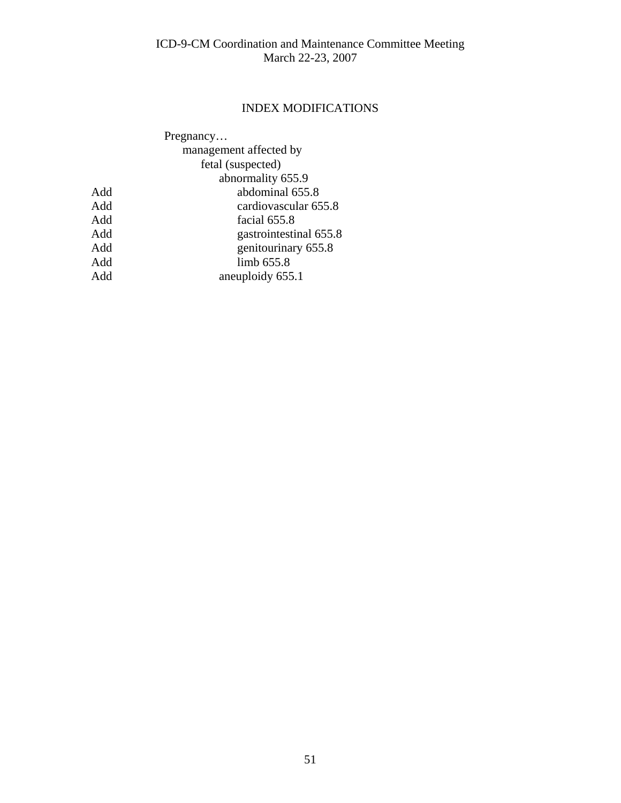# INDEX MODIFICATIONS

|     | Pregnancy              |
|-----|------------------------|
|     | management affected by |
|     | fetal (suspected)      |
|     | abnormality 655.9      |
| Add | abdominal 655.8        |
| Add | cardiovascular 655.8   |
| Add | facial 655.8           |
| Add | gastrointestinal 655.8 |
| Add | genitourinary 655.8    |
| Add | limb 655.8             |
| Add | aneuploidy 655.1       |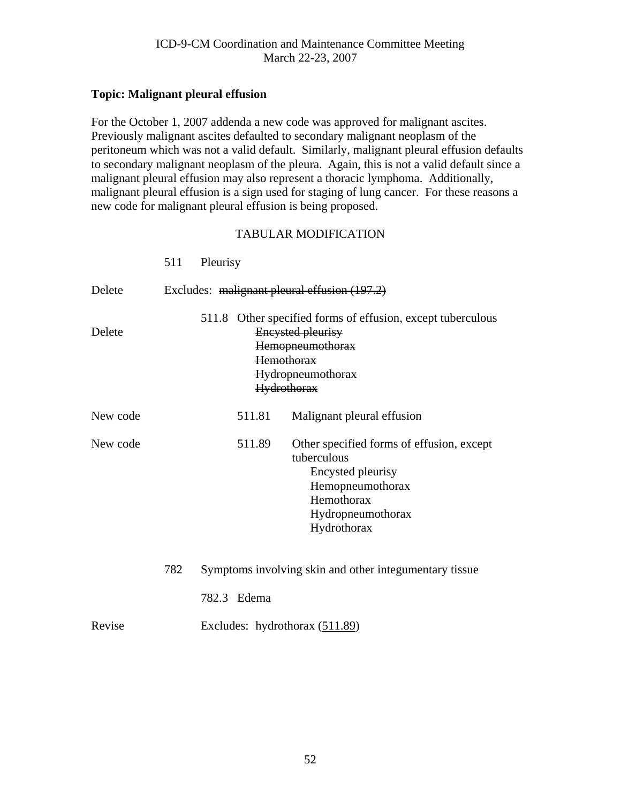### <span id="page-51-0"></span>**Topic: Malignant pleural effusion**

For the October 1, 2007 addenda a new code was approved for malignant ascites. Previously malignant ascites defaulted to secondary malignant neoplasm of the peritoneum which was not a valid default. Similarly, malignant pleural effusion defaults to secondary malignant neoplasm of the pleura. Again, this is not a valid default since a malignant pleural effusion may also represent a thoracic lymphoma. Additionally, malignant pleural effusion is a sign used for staging of lung cancer. For these reasons a new code for malignant pleural effusion is being proposed.

|          | 511 | Pleurisy |             |                                                                                                                                                                             |
|----------|-----|----------|-------------|-----------------------------------------------------------------------------------------------------------------------------------------------------------------------------|
| Delete   |     |          |             | Excludes: malignant pleural effusion (197.2)                                                                                                                                |
| Delete   |     |          |             | 511.8 Other specified forms of effusion, except tuberculous<br>Encysted pleurisy<br>Hemopneumothorax<br><b>Hemothorax</b><br><b>Hydropneumothorax</b><br><b>Hydrothorax</b> |
| New code |     |          | 511.81      | Malignant pleural effusion                                                                                                                                                  |
| New code |     |          | 511.89      | Other specified forms of effusion, except<br>tuberculous<br>Encysted pleurisy<br>Hemopneumothorax<br>Hemothorax<br>Hydropneumothorax<br>Hydrothorax                         |
|          | 782 |          |             | Symptoms involving skin and other integumentary tissue                                                                                                                      |
|          |     |          | 782.3 Edema |                                                                                                                                                                             |
| Revise   |     |          |             | Excludes: hydrothorax $(511.89)$                                                                                                                                            |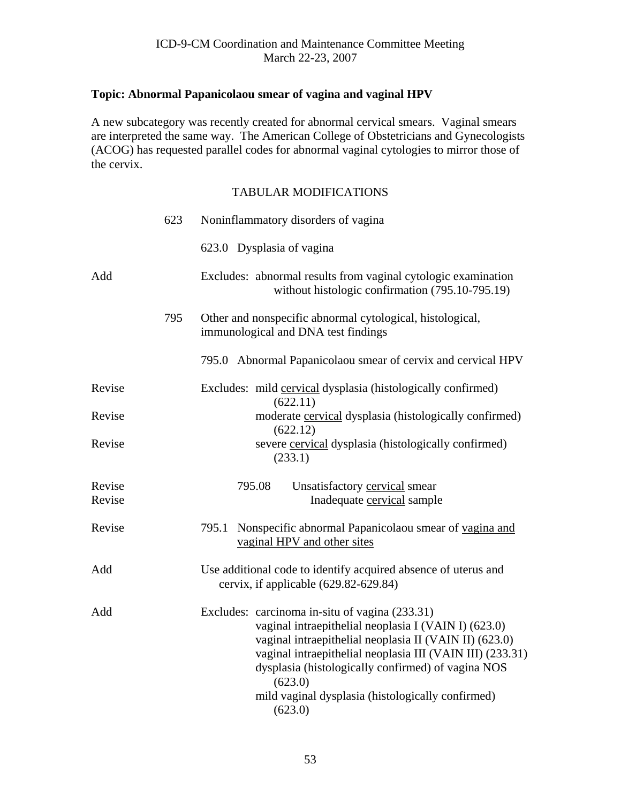# <span id="page-52-0"></span>**Topic: Abnormal Papanicolaou smear of vagina and vaginal HPV**

A new subcategory was recently created for abnormal cervical smears. Vaginal smears are interpreted the same way. The American College of Obstetricians and Gynecologists (ACOG) has requested parallel codes for abnormal vaginal cytologies to mirror those of the cervix.

|        | 623 | Noninflammatory disorders of vagina                                                                                                                                                                                                                                                                                                                            |
|--------|-----|----------------------------------------------------------------------------------------------------------------------------------------------------------------------------------------------------------------------------------------------------------------------------------------------------------------------------------------------------------------|
|        |     | 623.0 Dysplasia of vagina                                                                                                                                                                                                                                                                                                                                      |
| Add    |     | Excludes: abnormal results from vaginal cytologic examination<br>without histologic confirmation (795.10-795.19)                                                                                                                                                                                                                                               |
|        | 795 | Other and nonspecific abnormal cytological, histological,<br>immunological and DNA test findings                                                                                                                                                                                                                                                               |
|        |     | 795.0 Abnormal Papanicolaou smear of cervix and cervical HPV                                                                                                                                                                                                                                                                                                   |
| Revise |     | Excludes: mild cervical dysplasia (histologically confirmed)<br>(622.11)                                                                                                                                                                                                                                                                                       |
| Revise |     | moderate cervical dysplasia (histologically confirmed)<br>(622.12)                                                                                                                                                                                                                                                                                             |
| Revise |     | severe cervical dysplasia (histologically confirmed)<br>(233.1)                                                                                                                                                                                                                                                                                                |
| Revise |     | 795.08<br>Unsatisfactory cervical smear                                                                                                                                                                                                                                                                                                                        |
| Revise |     | Inadequate cervical sample                                                                                                                                                                                                                                                                                                                                     |
| Revise |     | Nonspecific abnormal Papanicolaou smear of vagina and<br>795.1<br>vaginal HPV and other sites                                                                                                                                                                                                                                                                  |
| Add    |     | Use additional code to identify acquired absence of uterus and<br>cervix, if applicable (629.82-629.84)                                                                                                                                                                                                                                                        |
| Add    |     | Excludes: carcinoma in-situ of vagina (233.31)<br>vaginal intraepithelial neoplasia I (VAIN I) (623.0)<br>vaginal intraepithelial neoplasia II (VAIN II) (623.0)<br>vaginal intraepithelial neoplasia III (VAIN III) (233.31)<br>dysplasia (histologically confirmed) of vagina NOS<br>(623.0)<br>mild vaginal dysplasia (histologically confirmed)<br>(623.0) |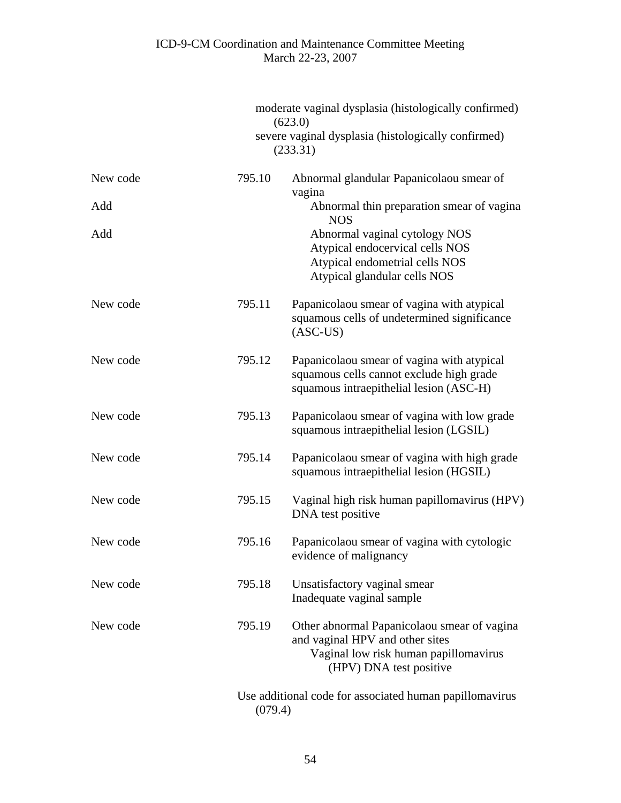|          |         | moderate vaginal dysplasia (histologically confirmed)<br>(623.0)                                                                                   |
|----------|---------|----------------------------------------------------------------------------------------------------------------------------------------------------|
|          |         | severe vaginal dysplasia (histologically confirmed)<br>(233.31)                                                                                    |
| New code | 795.10  | Abnormal glandular Papanicolaou smear of<br>vagina                                                                                                 |
| Add      |         | Abnormal thin preparation smear of vagina<br><b>NOS</b>                                                                                            |
| Add      |         | Abnormal vaginal cytology NOS<br>Atypical endocervical cells NOS<br>Atypical endometrial cells NOS<br>Atypical glandular cells NOS                 |
| New code | 795.11  | Papanicolaou smear of vagina with atypical<br>squamous cells of undetermined significance<br>$(ASC-US)$                                            |
| New code | 795.12  | Papanicolaou smear of vagina with atypical<br>squamous cells cannot exclude high grade<br>squamous intraepithelial lesion (ASC-H)                  |
| New code | 795.13  | Papanicolaou smear of vagina with low grade<br>squamous intraepithelial lesion (LGSIL)                                                             |
| New code | 795.14  | Papanicolaou smear of vagina with high grade<br>squamous intraepithelial lesion (HGSIL)                                                            |
| New code | 795.15  | Vaginal high risk human papillomavirus (HPV)<br>DNA test positive                                                                                  |
| New code | 795.16  | Papanicolaou smear of vagina with cytologic<br>evidence of malignancy                                                                              |
| New code | 795.18  | Unsatisfactory vaginal smear<br>Inadequate vaginal sample                                                                                          |
| New code | 795.19  | Other abnormal Papanicolaou smear of vagina<br>and vaginal HPV and other sites<br>Vaginal low risk human papillomavirus<br>(HPV) DNA test positive |
|          | (079.4) | Use additional code for associated human papillomavirus                                                                                            |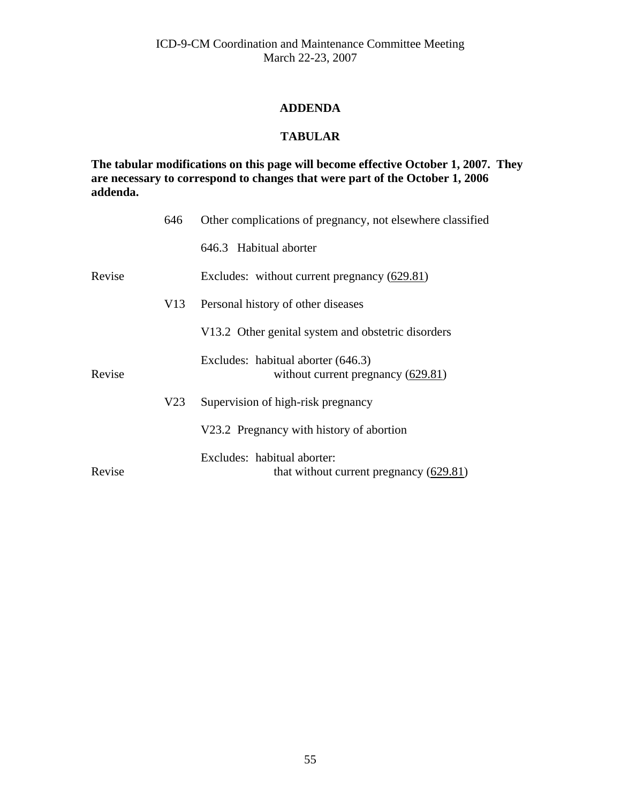# **ADDENDA**

# **TABULAR**

<span id="page-54-0"></span>**The tabular modifications on this page will become effective October 1, 2007. They are necessary to correspond to changes that were part of the October 1, 2006 addenda.** 

|        | 646             | Other complications of pregnancy, not elsewhere classified               |
|--------|-----------------|--------------------------------------------------------------------------|
|        |                 | 646.3 Habitual aborter                                                   |
| Revise |                 | Excludes: without current pregnancy $(629.81)$                           |
|        | V <sub>13</sub> | Personal history of other diseases                                       |
|        |                 | V13.2 Other genital system and obstetric disorders                       |
| Revise |                 | Excludes: habitual aborter (646.3)<br>without current pregnancy (629.81) |
|        | V <sub>23</sub> | Supervision of high-risk pregnancy                                       |
|        |                 | V23.2 Pregnancy with history of abortion                                 |
| Revise |                 | Excludes: habitual aborter:<br>that without current pregnancy $(629.81)$ |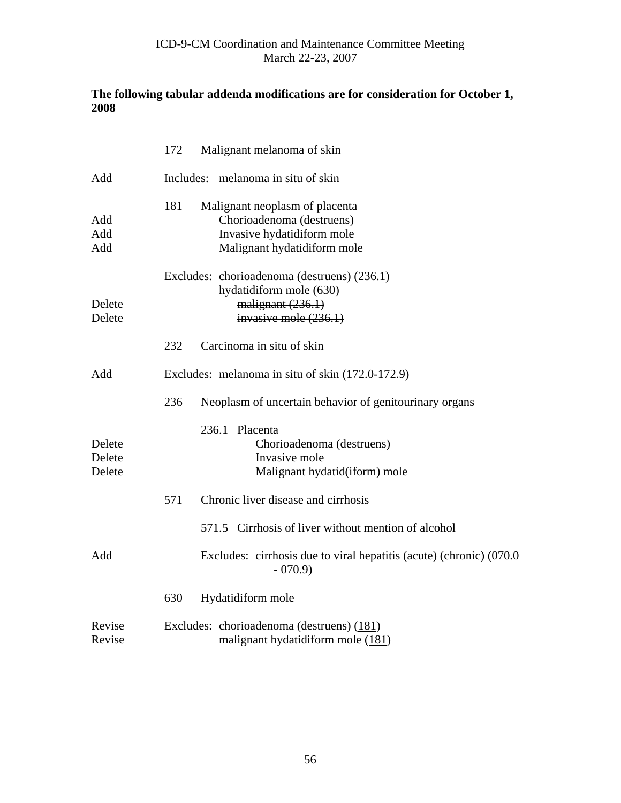# **The following tabular addenda modifications are for consideration for October 1, 2008**

|                            | 172<br>Malignant melanoma of skin                                                                                               |
|----------------------------|---------------------------------------------------------------------------------------------------------------------------------|
| Add                        | Includes: melanoma in situ of skin                                                                                              |
| Add<br>Add<br>Add          | 181<br>Malignant neoplasm of placenta<br>Chorioadenoma (destruens)<br>Invasive hydatidiform mole<br>Malignant hydatidiform mole |
| Delete<br>Delete           | Excludes: ehorioadenoma (destruens) (236.1)<br>hydatidiform mole (630)<br>malignant $(236.1)$<br>invasive mole (236.1)          |
|                            | 232<br>Carcinoma in situ of skin                                                                                                |
| Add                        | Excludes: melanoma in situ of skin (172.0-172.9)                                                                                |
|                            | 236<br>Neoplasm of uncertain behavior of genitourinary organs                                                                   |
| Delete<br>Delete<br>Delete | Placenta<br>236.1<br>Chorioadenoma (destruens)<br>Invasive mole<br>Malignant hydatid(iform) mole                                |
|                            | 571<br>Chronic liver disease and cirrhosis                                                                                      |
|                            | 571.5 Cirrhosis of liver without mention of alcohol                                                                             |
| Add                        | Excludes: cirrhosis due to viral hepatitis (acute) (chronic) (070.0<br>$-070.9$                                                 |
|                            | 630<br>Hydatidiform mole                                                                                                        |
| Revise<br>Revise           | Excludes: chorioadenoma (destruens) (181)<br>malignant hydatidiform mole (181)                                                  |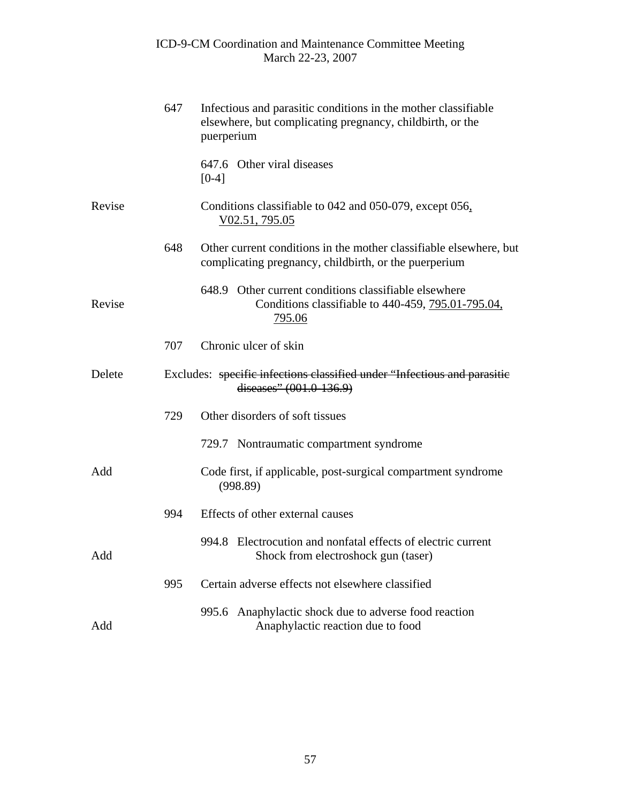|        | 647 | Infectious and parasitic conditions in the mother classifiable<br>elsewhere, but complicating pregnancy, childbirth, or the<br>puerperium |
|--------|-----|-------------------------------------------------------------------------------------------------------------------------------------------|
|        |     | 647.6 Other viral diseases<br>$[0-4]$                                                                                                     |
| Revise |     | Conditions classifiable to 042 and 050-079, except 056.<br>V02.51, 795.05                                                                 |
|        | 648 | Other current conditions in the mother classifiable elsewhere, but<br>complicating pregnancy, childbirth, or the puerperium               |
| Revise |     | 648.9 Other current conditions classifiable elsewhere<br>Conditions classifiable to 440-459, 795.01-795.04,<br>795.06                     |
|        | 707 | Chronic ulcer of skin                                                                                                                     |
| Delete |     | Excludes: specific infections classified under "Infectious and parasitic<br>diseases" (001.0-136.9)                                       |
|        | 729 | Other disorders of soft tissues                                                                                                           |
|        |     | 729.7 Nontraumatic compartment syndrome                                                                                                   |
| Add    |     | Code first, if applicable, post-surgical compartment syndrome<br>(998.89)                                                                 |
|        | 994 | Effects of other external causes                                                                                                          |
| Add    |     | 994.8 Electrocution and nonfatal effects of electric current<br>Shock from electroshock gun (taser)                                       |
|        | 995 | Certain adverse effects not elsewhere classified                                                                                          |
| Add    |     | 995.6 Anaphylactic shock due to adverse food reaction<br>Anaphylactic reaction due to food                                                |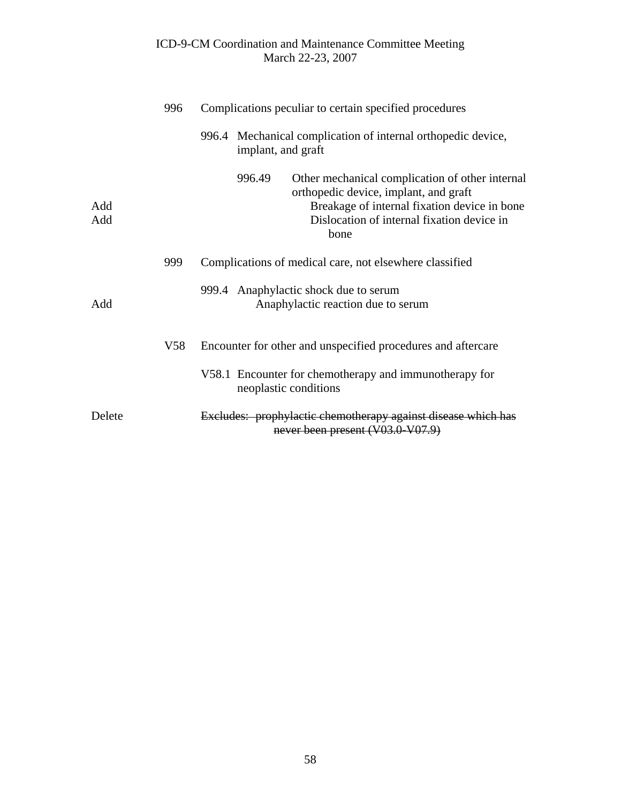|            | 996             | Complications peculiar to certain specified procedures                                                                                                                                                   |
|------------|-----------------|----------------------------------------------------------------------------------------------------------------------------------------------------------------------------------------------------------|
|            |                 | 996.4 Mechanical complication of internal orthopedic device,<br>implant, and graft                                                                                                                       |
| Add<br>Add |                 | 996.49<br>Other mechanical complication of other internal<br>orthopedic device, implant, and graft<br>Breakage of internal fixation device in bone<br>Dislocation of internal fixation device in<br>bone |
|            | 999             | Complications of medical care, not elsewhere classified                                                                                                                                                  |
| Add        |                 | 999.4 Anaphylactic shock due to serum<br>Anaphylactic reaction due to serum                                                                                                                              |
|            | V <sub>58</sub> | Encounter for other and unspecified procedures and aftercare                                                                                                                                             |
|            |                 | V58.1 Encounter for chemotherapy and immunotherapy for<br>neoplastic conditions                                                                                                                          |
| Delete     |                 | Excludes: prophylactic chemotherapy against disease which has<br>never been present (V03.0-V07.9)                                                                                                        |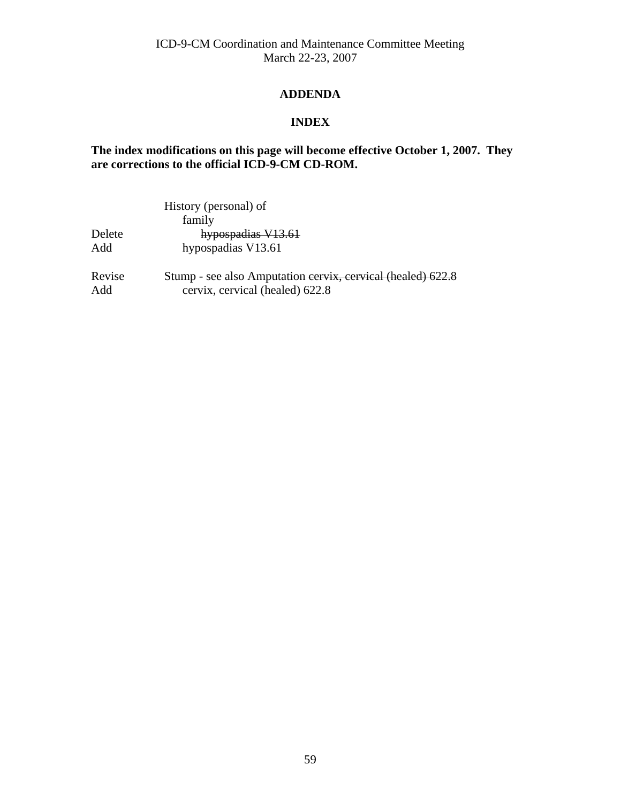### **ADDENDA**

# **INDEX**

# **The index modifications on this page will become effective October 1, 2007. They are corrections to the official ICD-9-CM CD-ROM.**

|               | History (personal) of                                                                          |
|---------------|------------------------------------------------------------------------------------------------|
|               | family                                                                                         |
| Delete        | hypospadias V13.61                                                                             |
| Add           | hypospadias V13.61                                                                             |
| Revise<br>Add | Stump - see also Amputation eervix, cervical (healed) 622.8<br>cervix, cervical (healed) 622.8 |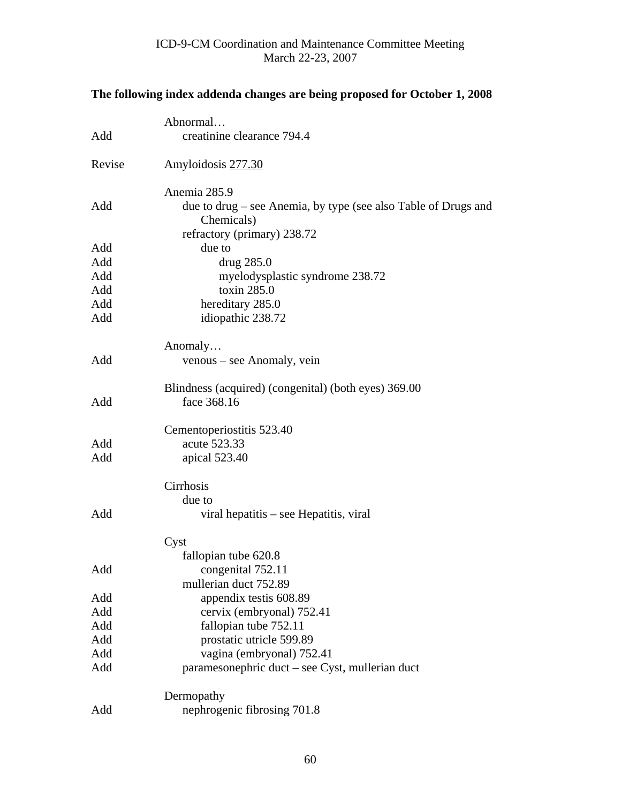# **The following index addenda changes are being proposed for October 1, 2008**

|        | Abnormal                                                                     |
|--------|------------------------------------------------------------------------------|
| Add    | creatinine clearance 794.4                                                   |
| Revise | Amyloidosis 277.30                                                           |
|        | Anemia 285.9                                                                 |
| Add    | due to drug – see Anemia, by type (see also Table of Drugs and<br>Chemicals) |
|        | refractory (primary) 238.72                                                  |
| Add    | due to                                                                       |
| Add    | drug 285.0                                                                   |
| Add    | myelodysplastic syndrome 238.72                                              |
| Add    | toxin 285.0                                                                  |
| Add    | hereditary 285.0                                                             |
| Add    | idiopathic 238.72                                                            |
|        | Anomaly                                                                      |
| Add    | venous – see Anomaly, vein                                                   |
|        | Blindness (acquired) (congenital) (both eyes) 369.00                         |
| Add    | face 368.16                                                                  |
|        | Cementoperiostitis 523.40                                                    |
| Add    | acute 523.33                                                                 |
| Add    | apical 523.40                                                                |
|        | Cirrhosis                                                                    |
|        | due to                                                                       |
| Add    | viral hepatitis – see Hepatitis, viral                                       |
|        | Cyst                                                                         |
|        | fallopian tube 620.8                                                         |
| Add    | congenital 752.11                                                            |
|        | mullerian duct 752.89                                                        |
| Add    | appendix testis 608.89                                                       |
| Add    | cervix (embryonal) 752.41                                                    |
| Add    | fallopian tube 752.11                                                        |
| Add    | prostatic utricle 599.89                                                     |
| Add    | vagina (embryonal) 752.41                                                    |
| Add    | paramesonephric duct – see Cyst, mullerian duct                              |
|        | Dermopathy                                                                   |
| Add    | nephrogenic fibrosing 701.8                                                  |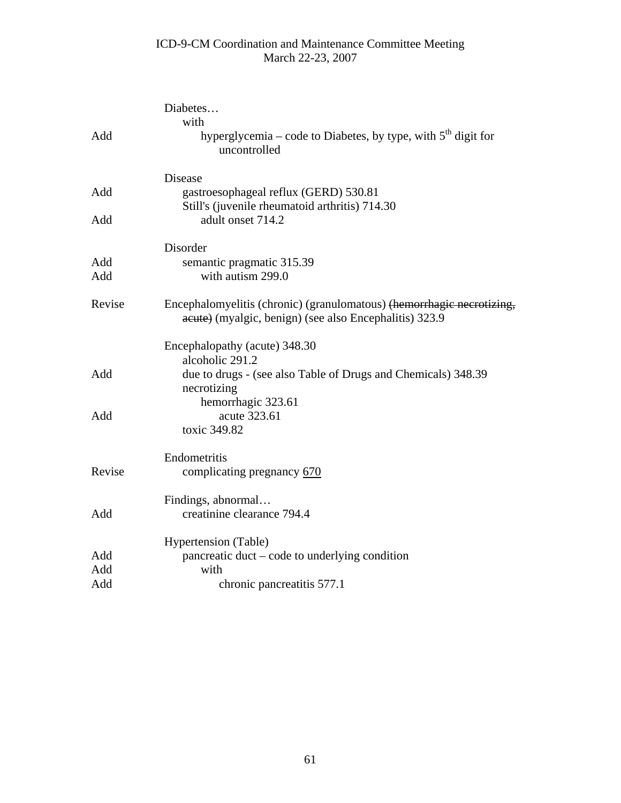|        | Diabetes                                                                                                                        |
|--------|---------------------------------------------------------------------------------------------------------------------------------|
|        | with                                                                                                                            |
| Add    | hyperglycemia – code to Diabetes, by type, with $5th$ digit for<br>uncontrolled                                                 |
|        | Disease                                                                                                                         |
| Add    | gastroesophageal reflux (GERD) 530.81<br>Still's (juvenile rheumatoid arthritis) 714.30                                         |
| Add    | adult onset 714.2                                                                                                               |
|        | Disorder                                                                                                                        |
| Add    | semantic pragmatic 315.39                                                                                                       |
| Add    | with autism 299.0                                                                                                               |
| Revise | Encephalomyelitis (chronic) (granulomatous) (hemorrhagic necrotizing,<br>acute) (myalgic, benign) (see also Encephalitis) 323.9 |
|        | Encephalopathy (acute) 348.30<br>alcoholic 291.2                                                                                |
| Add    | due to drugs - (see also Table of Drugs and Chemicals) 348.39<br>necrotizing                                                    |
|        | hemorrhagic 323.61                                                                                                              |
| Add    | acute 323.61<br>toxic 349.82                                                                                                    |
|        | Endometritis                                                                                                                    |
| Revise | complicating pregnancy 670                                                                                                      |
|        | Findings, abnormal                                                                                                              |
| Add    | creatinine clearance 794.4                                                                                                      |
|        | <b>Hypertension</b> (Table)                                                                                                     |
| Add    | pancreatic duct – code to underlying condition                                                                                  |
| Add    | with                                                                                                                            |
| Add    | chronic pancreatitis 577.1                                                                                                      |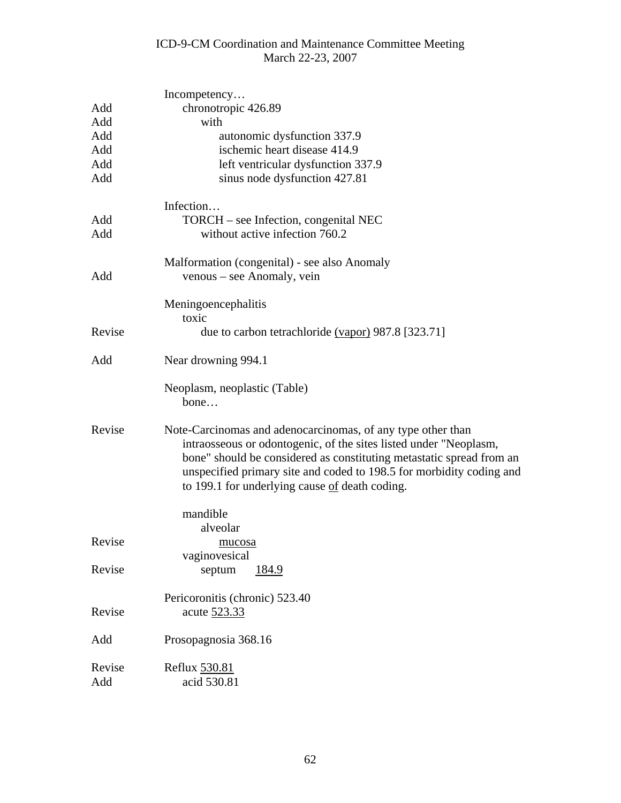|        | Incompetency                                                                                                                                                                                                                                                                                                                       |
|--------|------------------------------------------------------------------------------------------------------------------------------------------------------------------------------------------------------------------------------------------------------------------------------------------------------------------------------------|
| Add    | chronotropic 426.89                                                                                                                                                                                                                                                                                                                |
| Add    | with                                                                                                                                                                                                                                                                                                                               |
| Add    | autonomic dysfunction 337.9                                                                                                                                                                                                                                                                                                        |
| Add    | ischemic heart disease 414.9                                                                                                                                                                                                                                                                                                       |
| Add    | left ventricular dysfunction 337.9                                                                                                                                                                                                                                                                                                 |
| Add    | sinus node dysfunction 427.81                                                                                                                                                                                                                                                                                                      |
|        | Infection                                                                                                                                                                                                                                                                                                                          |
| Add    | TORCH – see Infection, congenital NEC                                                                                                                                                                                                                                                                                              |
| Add    | without active infection 760.2                                                                                                                                                                                                                                                                                                     |
| Add    | Malformation (congenital) - see also Anomaly                                                                                                                                                                                                                                                                                       |
|        | venous – see Anomaly, vein                                                                                                                                                                                                                                                                                                         |
|        | Meningoencephalitis<br>toxic                                                                                                                                                                                                                                                                                                       |
| Revise | due to carbon tetrachloride (vapor) 987.8 [323.71]                                                                                                                                                                                                                                                                                 |
| Add    | Near drowning 994.1                                                                                                                                                                                                                                                                                                                |
|        | Neoplasm, neoplastic (Table)<br>bone                                                                                                                                                                                                                                                                                               |
| Revise | Note-Carcinomas and adenocarcinomas, of any type other than<br>intraosseous or odontogenic, of the sites listed under "Neoplasm,<br>bone" should be considered as constituting metastatic spread from an<br>unspecified primary site and coded to 198.5 for morbidity coding and<br>to 199.1 for underlying cause of death coding. |
|        | mandible                                                                                                                                                                                                                                                                                                                           |
|        | alveolar                                                                                                                                                                                                                                                                                                                           |
| Revise | mucosa                                                                                                                                                                                                                                                                                                                             |
|        | vaginovesical                                                                                                                                                                                                                                                                                                                      |
| Revise | septum<br>184.9                                                                                                                                                                                                                                                                                                                    |
|        | Pericoronitis (chronic) 523.40                                                                                                                                                                                                                                                                                                     |
| Revise | acute 523.33                                                                                                                                                                                                                                                                                                                       |
| Add    | Prosopagnosia 368.16                                                                                                                                                                                                                                                                                                               |
| Revise | Reflux 530.81                                                                                                                                                                                                                                                                                                                      |
| Add    | acid 530.81                                                                                                                                                                                                                                                                                                                        |